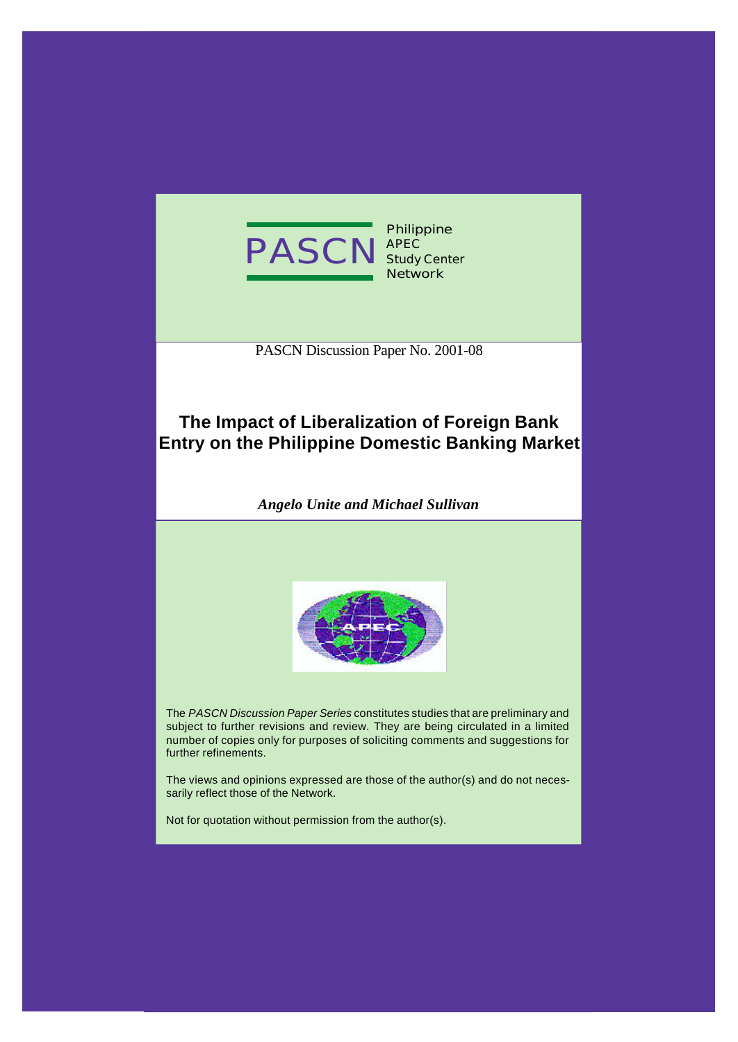

**Philippine Study Center Network**

PASCN Discussion Paper No. 2001-08

# **The Impact of Liberalization of Foreign Bank Entry on the Philippine Domestic Banking Market**

*Angelo Unite and Michael Sullivan*



The *PASCN Discussion Paper Series* constitutes studies that are preliminary and subject to further revisions and review. They are being circulated in a limited number of copies only for purposes of soliciting comments and suggestions for further refinements.

The views and opinions expressed are those of the author(s) and do not necessarily reflect those of the Network.

Not for quotation without permission from the author(s).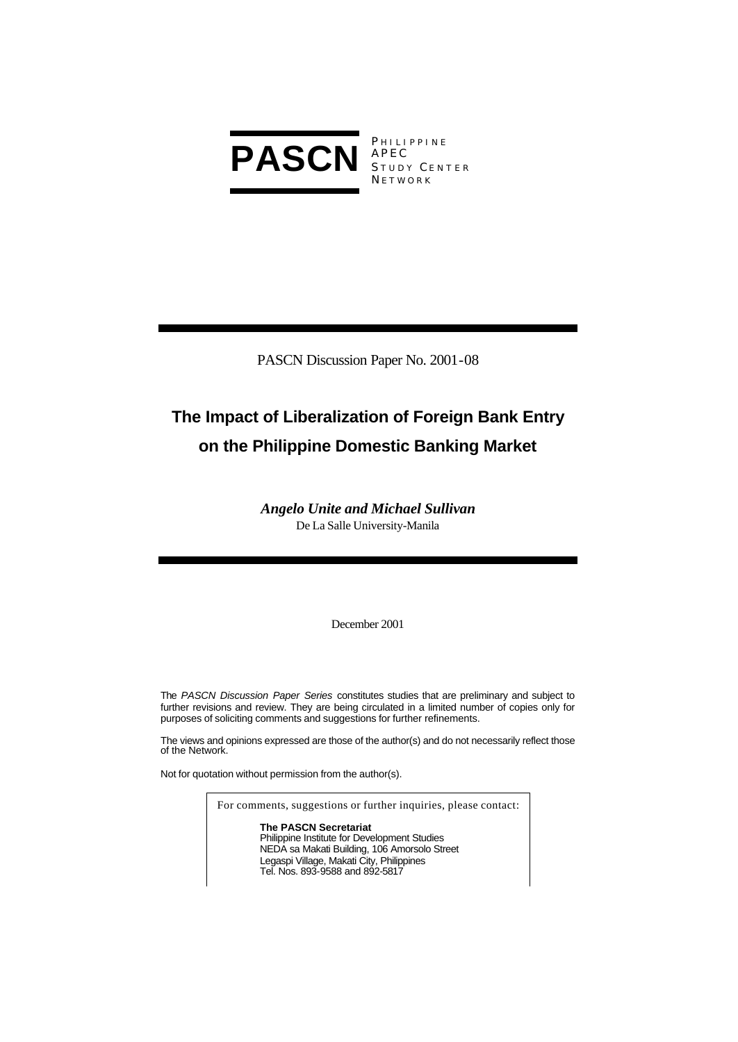

APEC S TUDY C ENTER **NETWORK** 

PASCN Discussion Paper No. 2001-08

# **The Impact of Liberalization of Foreign Bank Entry on the Philippine Domestic Banking Market**

*Angelo Unite and Michael Sullivan* De La Salle University-Manila

December 2001

The *PASCN Discussion Paper Series* constitutes studies that are preliminary and subject to further revisions and review. They are being circulated in a limited number of copies only for purposes of soliciting comments and suggestions for further refinements.

The views and opinions expressed are those of the author(s) and do not necessarily reflect those of the Network.

Not for quotation without permission from the author(s).

For comments, suggestions or further inquiries, please contact:

**The PASCN Secretariat** Philippine Institute for Development Studies NEDA sa Makati Building, 106 Amorsolo Street Legaspi Village, Makati City, Philippines Tel. Nos. 893-9588 and 892-5817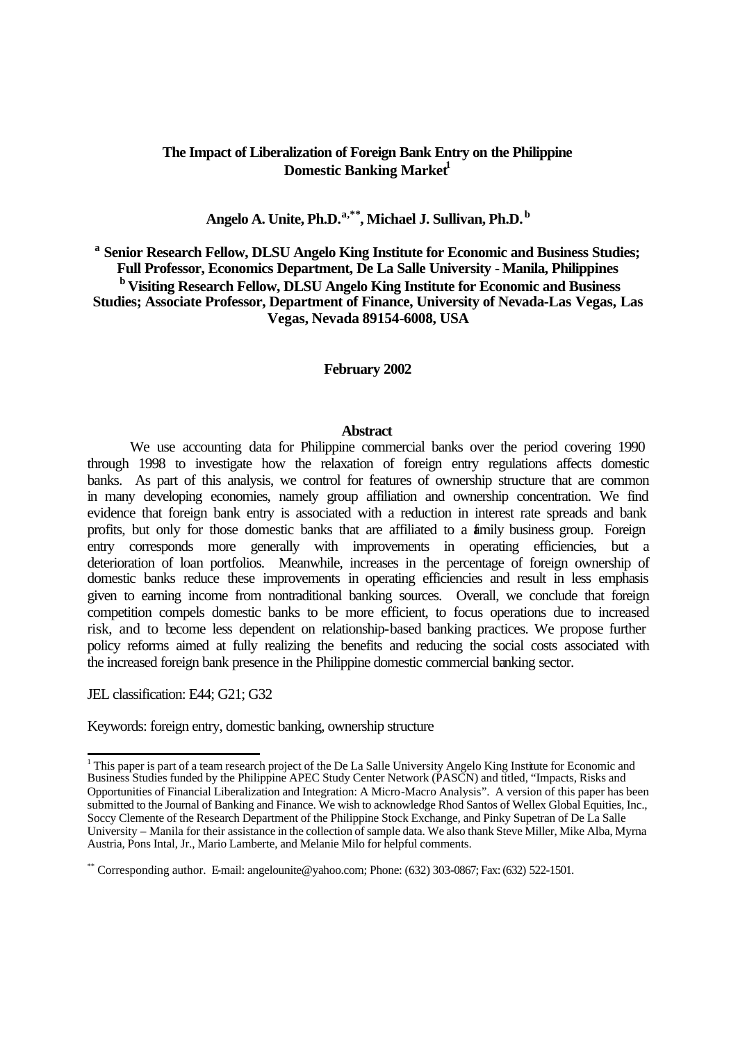# **The Impact of Liberalization of Foreign Bank Entry on the Philippine Domestic Banking Market<sup>1</sup>**

**Angelo A. Unite, Ph.D.a,\*\*, Michael J. Sullivan, Ph.D. <sup>b</sup>**

**a Senior Research Fellow, DLSU Angelo King Institute for Economic and Business Studies; Full Professor, Economics Department, De La Salle University - Manila, Philippines b Visiting Research Fellow, DLSU Angelo King Institute for Economic and Business Studies; Associate Professor, Department of Finance, University of Nevada-Las Vegas, Las Vegas, Nevada 89154-6008, USA**

#### **February 2002**

#### **Abstract**

We use accounting data for Philippine commercial banks over the period covering 1990 through 1998 to investigate how the relaxation of foreign entry regulations affects domestic banks. As part of this analysis, we control for features of ownership structure that are common in many developing economies, namely group affiliation and ownership concentration. We find evidence that foreign bank entry is associated with a reduction in interest rate spreads and bank profits, but only for those domestic banks that are affiliated to a family business group. Foreign entry corresponds more generally with improvements in operating efficiencies, but a deterioration of loan portfolios. Meanwhile, increases in the percentage of foreign ownership of domestic banks reduce these improvements in operating efficiencies and result in less emphasis given to earning income from nontraditional banking sources. Overall, we conclude that foreign competition compels domestic banks to be more efficient, to focus operations due to increased risk, and to become less dependent on relationship-based banking practices. We propose further policy reforms aimed at fully realizing the benefits and reducing the social costs associated with the increased foreign bank presence in the Philippine domestic commercial banking sector.

JEL classification: E44; G21; G32

l

Keywords: foreign entry, domestic banking, ownership structure

<sup>&</sup>lt;sup>1</sup> This paper is part of a team research project of the De La Salle University Angelo King Institute for Economic and Business Studies funded by the Philippine APEC Study Center Network (PASCN) and titled, "Impacts, Risks and Opportunities of Financial Liberalization and Integration: A Micro-Macro Analysis". A version of this paper has been submitted to the Journal of Banking and Finance. We wish to acknowledge Rhod Santos of Wellex Global Equities, Inc., Soccy Clemente of the Research Department of the Philippine Stock Exchange, and Pinky Supetran of De La Salle University – Manila for their assistance in the collection of sample data. We also thank Steve Miller, Mike Alba, Myrna Austria, Pons Intal, Jr., Mario Lamberte, and Melanie Milo for helpful comments.

<sup>\*\*</sup> Corresponding author. E-mail: angelounite@yahoo.com; Phone:  $(632)$  303-0867; Fax:  $(632)$  522-1501.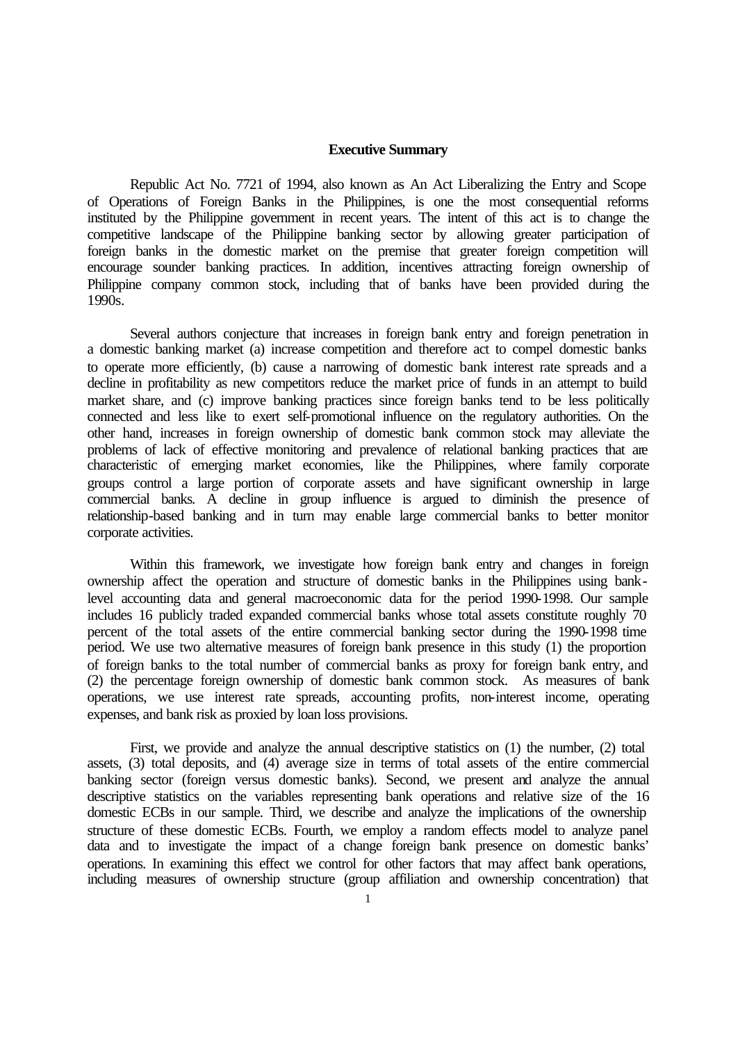#### **Executive Summary**

Republic Act No. 7721 of 1994, also known as An Act Liberalizing the Entry and Scope of Operations of Foreign Banks in the Philippines, is one the most consequential reforms instituted by the Philippine government in recent years. The intent of this act is to change the competitive landscape of the Philippine banking sector by allowing greater participation of foreign banks in the domestic market on the premise that greater foreign competition will encourage sounder banking practices. In addition, incentives attracting foreign ownership of Philippine company common stock, including that of banks have been provided during the  $1990s$ .

Several authors conjecture that increases in foreign bank entry and foreign penetration in a domestic banking market (a) increase competition and therefore act to compel domestic banks to operate more efficiently, (b) cause a narrowing of domestic bank interest rate spreads and a decline in profitability as new competitors reduce the market price of funds in an attempt to build market share, and (c) improve banking practices since foreign banks tend to be less politically connected and less like to exert self-promotional influence on the regulatory authorities. On the other hand, increases in foreign ownership of domestic bank common stock may alleviate the problems of lack of effective monitoring and prevalence of relational banking practices that are characteristic of emerging market economies, like the Philippines, where family corporate groups control a large portion of corporate assets and have significant ownership in large commercial banks. A decline in group influence is argued to diminish the presence of relationship-based banking and in turn may enable large commercial banks to better monitor corporate activities.

Within this framework, we investigate how foreign bank entry and changes in foreign ownership affect the operation and structure of domestic banks in the Philippines using banklevel accounting data and general macroeconomic data for the period 1990-1998. Our sample includes 16 publicly traded expanded commercial banks whose total assets constitute roughly 70 percent of the total assets of the entire commercial banking sector during the 1990-1998 time period. We use two alternative measures of foreign bank presence in this study (1) the proportion of foreign banks to the total number of commercial banks as proxy for foreign bank entry, and (2) the percentage foreign ownership of domestic bank common stock. As measures of bank operations, we use interest rate spreads, accounting profits, non-interest income, operating expenses, and bank risk as proxied by loan loss provisions.

First, we provide and analyze the annual descriptive statistics on (1) the number, (2) total assets, (3) total deposits, and (4) average size in terms of total assets of the entire commercial banking sector (foreign versus domestic banks). Second, we present and analyze the annual descriptive statistics on the variables representing bank operations and relative size of the 16 domestic ECBs in our sample. Third, we describe and analyze the implications of the ownership structure of these domestic ECBs. Fourth, we employ a random effects model to analyze panel data and to investigate the impact of a change foreign bank presence on domestic banks' operations. In examining this effect we control for other factors that may affect bank operations, including measures of ownership structure (group affiliation and ownership concentration) that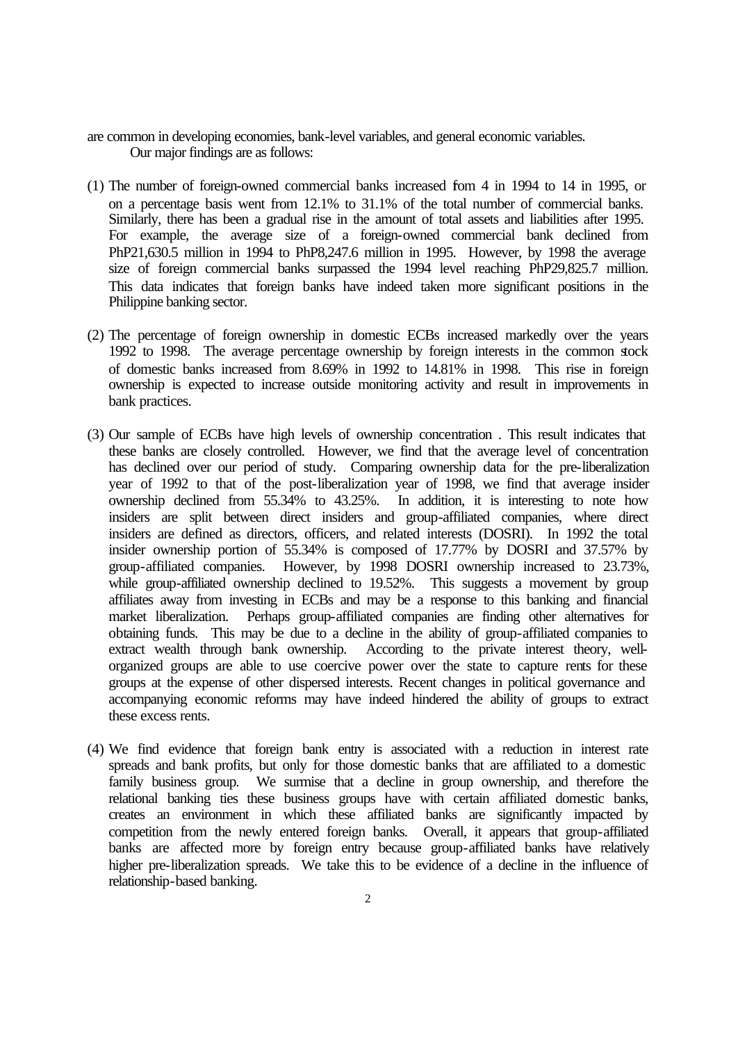- are common in developing economies, bank-level variables, and general economic variables. Our major findings are as follows:
- $(1)$  The number of foreign-owned commercial banks increased from 4 in 1994 to 14 in 1995, or on a percentage basis went from 12.1% to 31.1% of the total number of commercial banks. Similarly, there has been a gradual rise in the amount of total assets and liabilities after 1995. For example, the average size of a foreign-owned commercial bank declined from PhP21,630.5 million in 1994 to PhP8,247.6 million in 1995. However, by 1998 the average size of foreign commercial banks surpassed the 1994 level reaching PhP29,825.7 million. This data indicates that foreign banks have indeed taken more significant positions in the Philippine banking sector.
- (2) The percentage of foreign ownership in domestic ECBs increased markedly over the years 1992 to 1998. The average percentage ownership by foreign interests in the common stock of domestic banks increased from 8.69% in 1992 to 14.81% in 1998. This rise in foreign ownership is expected to increase outside monitoring activity and result in improvements in bank practices.
- (3) Our sample of ECBs have high levels of ownership concentration . This result indicates that these banks are closely controlled. However, we find that the average level of concentration has declined over our period of study. Comparing ownership data for the pre-liberalization year of 1992 to that of the post-liberalization year of 1998, we find that average insider ownership declined from 55.34% to 43.25%. In addition, it is interesting to note how insiders are split between direct insiders and group-affiliated companies, where direct insiders are defined as directors, officers, and related interests (DOSRI). In 1992 the total insider ownership portion of 55.34% is composed of 17.77% by DOSRI and 37.57% by group-affiliated companies. However, by 1998 DOSRI ownership increased to 23.73%, while group-affiliated ownership declined to 19.52%. This suggests a movement by group affiliates away from investing in ECBs and may be a response to this banking and financial market liberalization. Perhaps group-affiliated companies are finding other alternatives for obtaining funds. This may be due to a decline in the ability of group-affiliated companies to extract wealth through bank ownership. According to the private interest theory, wellorganized groups are able to use coercive power over the state to capture rents for these groups at the expense of other dispersed interests. Recent changes in political governance and accompanying economic reforms may have indeed hindered the ability of groups to extract these excess rents.
- (4) We find evidence that foreign bank entry is associated with a reduction in interest rate spreads and bank profits, but only for those domestic banks that are affiliated to a domestic family business group. We surmise that a decline in group ownership, and therefore the relational banking ties these business groups have with certain affiliated domestic banks, creates an environment in which these affiliated banks are significantly impacted by competition from the newly entered foreign banks. Overall, it appears that group-affiliated banks are affected more by foreign entry because group-affiliated banks have relatively higher pre-liberalization spreads. We take this to be evidence of a decline in the influence of relationship-based banking.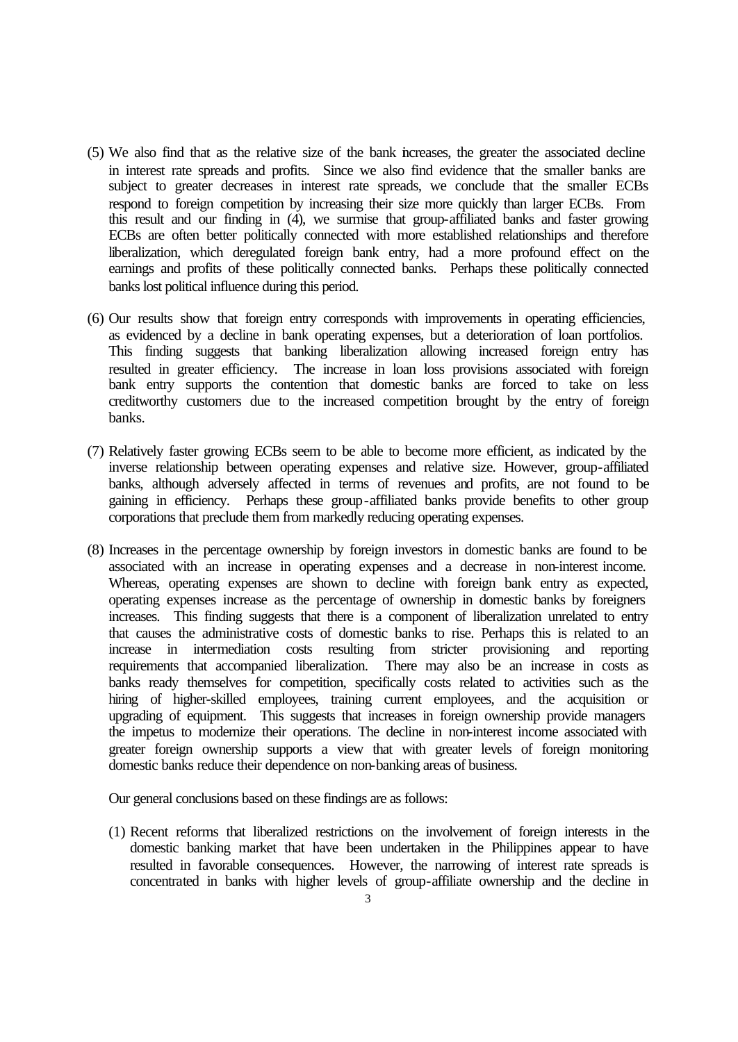- (5) We also find that as the relative size of the bank increases, the greater the associated decline in interest rate spreads and profits. Since we also find evidence that the smaller banks are subject to greater decreases in interest rate spreads, we conclude that the smaller ECBs respond to foreign competition by increasing their size more quickly than larger ECBs. From this result and our finding in (4), we surmise that group-affiliated banks and faster growing ECBs are often better politically connected with more established relationships and therefore liberalization, which deregulated foreign bank entry, had a more profound effect on the earnings and profits of these politically connected banks. Perhaps these politically connected banks lost political influence during this period.
- (6) Our results show that foreign entry corresponds with improvements in operating efficiencies, as evidenced by a decline in bank operating expenses, but a deterioration of loan portfolios. This finding suggests that banking liberalization allowing increased foreign entry has resulted in greater efficiency. The increase in loan loss provisions associated with foreign bank entry supports the contention that domestic banks are forced to take on less creditworthy customers due to the increased competition brought by the entry of foreign banks.
- (7) Relatively faster growing ECBs seem to be able to become more efficient, as indicated by the inverse relationship between operating expenses and relative size. However, group-affiliated banks, although adversely affected in terms of revenues and profits, are not found to be gaining in efficiency. Perhaps these group-affiliated banks provide benefits to other group corporations that preclude them from markedly reducing operating expenses.
- (8) Increases in the percentage ownership by foreign investors in domestic banks are found to be associated with an increase in operating expenses and a decrease in non-interest income. Whereas, operating expenses are shown to decline with foreign bank entry as expected, operating expenses increase as the percentage of ownership in domestic banks by foreigners increases. This finding suggests that there is a component of liberalization unrelated to entry that causes the administrative costs of domestic banks to rise. Perhaps this is related to an increase in intermediation costs resulting from stricter provisioning and reporting requirements that accompanied liberalization. There may also be an increase in costs as banks ready themselves for competition, specifically costs related to activities such as the hiring of higher-skilled employees, training current employees, and the acquisition or upgrading of equipment. This suggests that increases in foreign ownership provide managers the impetus to modernize their operations. The decline in non-interest income associated with greater foreign ownership supports a view that with greater levels of foreign monitoring domestic banks reduce their dependence on non-banking areas of business.

Our general conclusions based on these findings are as follows:

(1) Recent reforms that liberalized restrictions on the involvement of foreign interests in the domestic banking market that have been undertaken in the Philippines appear to have resulted in favorable consequences. However, the narrowing of interest rate spreads is concentrated in banks with higher levels of group-affiliate ownership and the decline in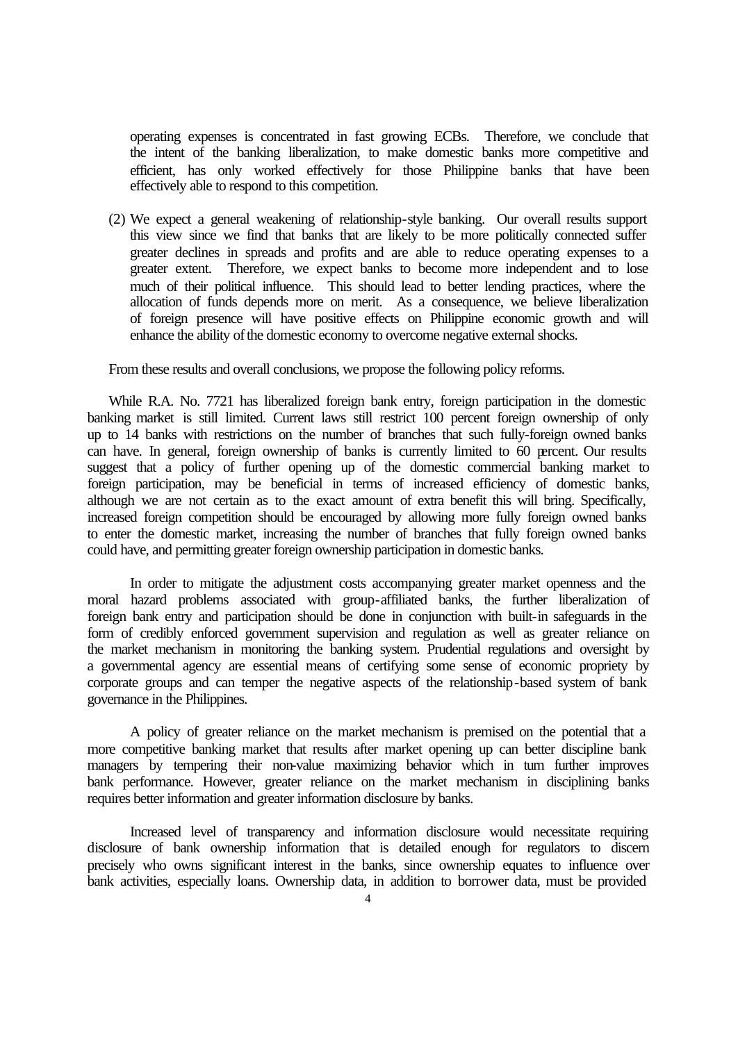operating expenses is concentrated in fast growing ECBs. Therefore, we conclude that the intent of the banking liberalization, to make domestic banks more competitive and efficient, has only worked effectively for those Philippine banks that have been effectively able to respond to this competition.

(2) We expect a general weakening of relationship-style banking. Our overall results support this view since we find that banks that are likely to be more politically connected suffer greater declines in spreads and profits and are able to reduce operating expenses to a greater extent. Therefore, we expect banks to become more independent and to lose much of their political influence. This should lead to better lending practices, where the allocation of funds depends more on merit. As a consequence, we believe liberalization of foreign presence will have positive effects on Philippine economic growth and will enhance the ability of the domestic economy to overcome negative external shocks.

From these results and overall conclusions, we propose the following policy reforms.

While R.A. No. 7721 has liberalized foreign bank entry, foreign participation in the domestic banking market is still limited. Current laws still restrict 100 percent foreign ownership of only up to 14 banks with restrictions on the number of branches that such fully-foreign owned banks can have. In general, foreign ownership of banks is currently limited to 60 percent. Our results suggest that a policy of further opening up of the domestic commercial banking market to foreign participation, may be beneficial in terms of increased efficiency of domestic banks, although we are not certain as to the exact amount of extra benefit this will bring. Specifically, increased foreign competition should be encouraged by allowing more fully foreign owned banks to enter the domestic market, increasing the number of branches that fully foreign owned banks could have, and permitting greater foreign ownership participation in domestic banks.

In order to mitigate the adjustment costs accompanying greater market openness and the moral hazard problems associated with group-affiliated banks, the further liberalization of foreign bank entry and participation should be done in conjunction with built-in safeguards in the form of credibly enforced government supervision and regulation as well as greater reliance on the market mechanism in monitoring the banking system. Prudential regulations and oversight by a governmental agency are essential means of certifying some sense of economic propriety by corporate groups and can temper the negative aspects of the relationship-based system of bank governance in the Philippines.

A policy of greater reliance on the market mechanism is premised on the potential that a more competitive banking market that results after market opening up can better discipline bank managers by tempering their non-value maximizing behavior which in turn further improves bank performance. However, greater reliance on the market mechanism in disciplining banks requires better information and greater information disclosure by banks.

Increased level of transparency and information disclosure would necessitate requiring disclosure of bank ownership information that is detailed enough for regulators to discern precisely who owns significant interest in the banks, since ownership equates to influence over bank activities, especially loans. Ownership data, in addition to borrower data, must be provided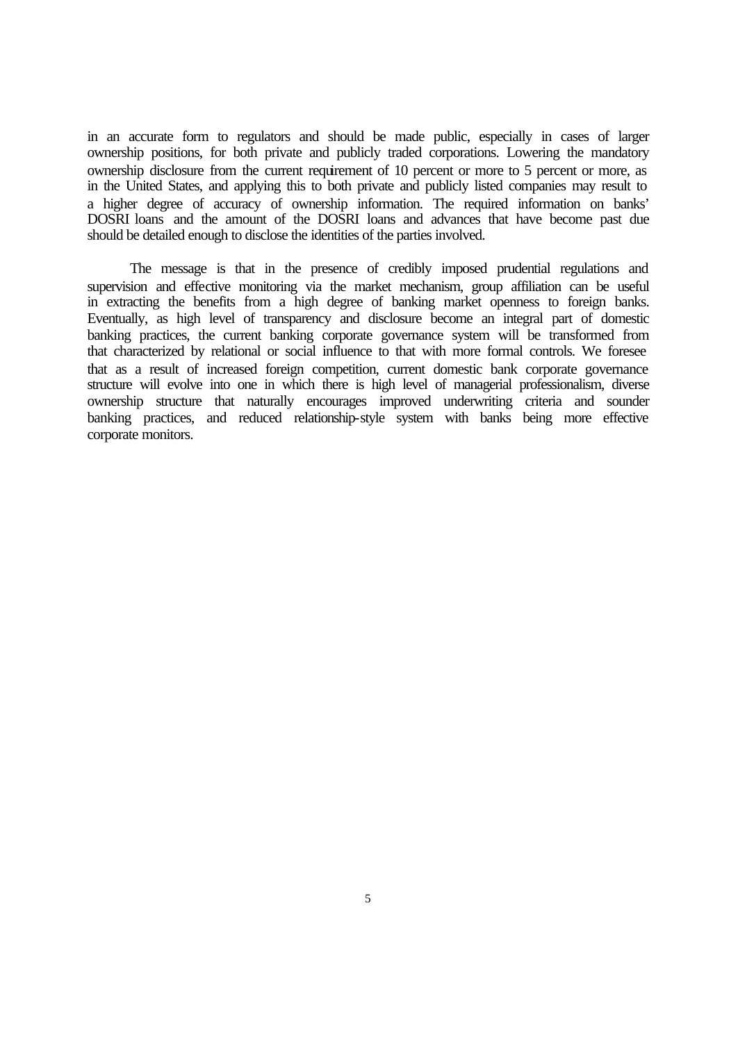in an accurate form to regulators and should be made public, especially in cases of larger ownership positions, for both private and publicly traded corporations. Lowering the mandatory ownership disclosure from the current requirement of 10 percent or more to 5 percent or more, as in the United States, and applying this to both private and publicly listed companies may result to a higher degree of accuracy of ownership information. The required information on banks' DOSRI loans and the amount of the DOSRI loans and advances that have become past due should be detailed enough to disclose the identities of the parties involved.

The message is that in the presence of credibly imposed prudential regulations and supervision and effective monitoring via the market mechanism, group affiliation can be useful in extracting the benefits from a high degree of banking market openness to foreign banks. Eventually, as high level of transparency and disclosure become an integral part of domestic banking practices, the current banking corporate governance system will be transformed from that characterized by relational or social influence to that with more formal controls. We foresee that as a result of increased foreign competition, current domestic bank corporate governance structure will evolve into one in which there is high level of managerial professionalism, diverse ownership structure that naturally encourages improved underwriting criteria and sounder banking practices, and reduced relationship-style system with banks being more effective corporate monitors.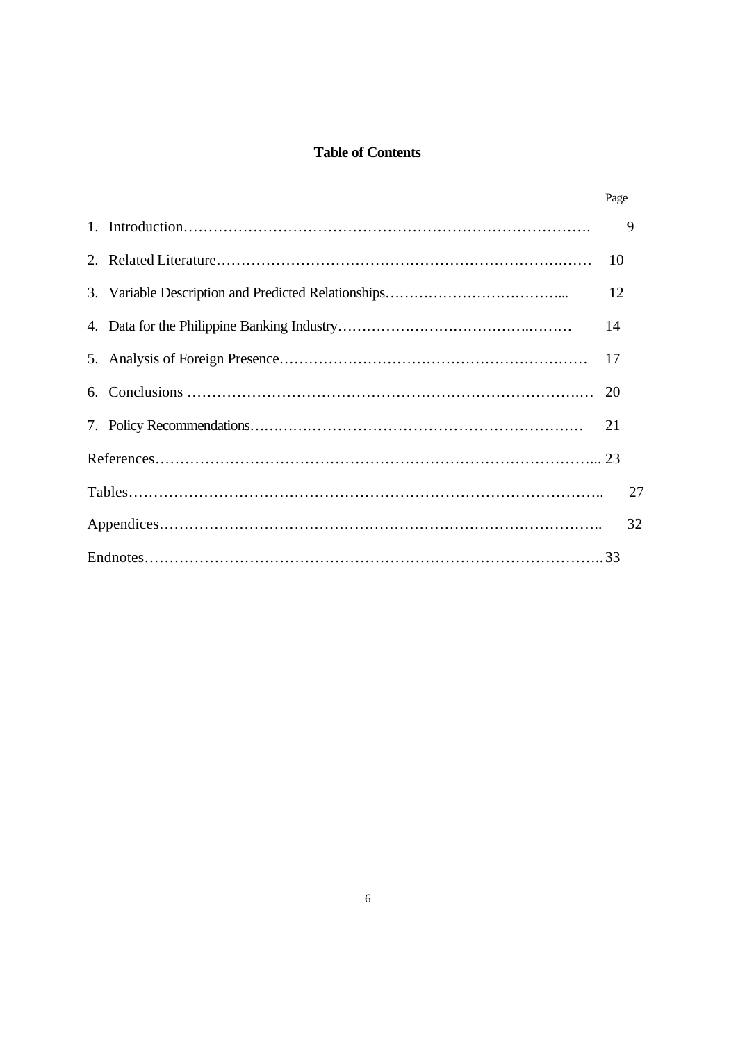# **Table of Contents**

|  | Page |    |
|--|------|----|
|  |      | 9  |
|  | 10   |    |
|  | 12   |    |
|  | 14   |    |
|  |      |    |
|  |      |    |
|  |      |    |
|  |      |    |
|  |      | 27 |
|  |      | 32 |
|  |      |    |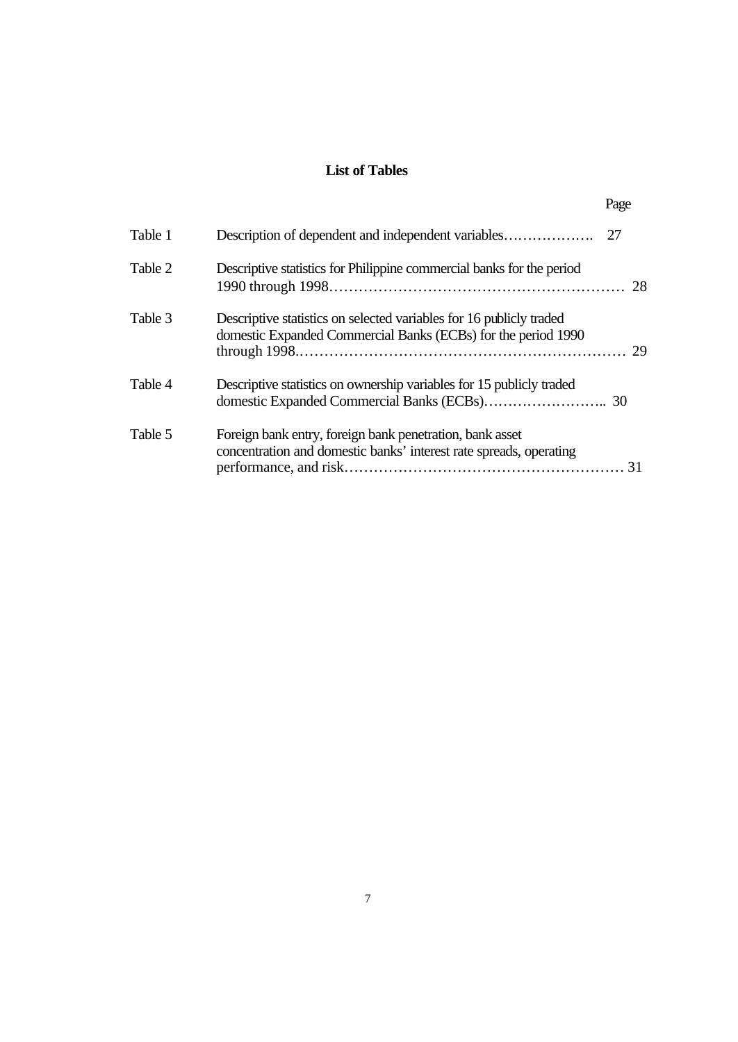# **List of Tables**

Page

| Table 1 |                                                                                                                                                            |  |
|---------|------------------------------------------------------------------------------------------------------------------------------------------------------------|--|
| Table 2 | Descriptive statistics for Philippine commercial banks for the period                                                                                      |  |
| Table 3 | Descriptive statistics on selected variables for 16 publicly traded<br>domestic Expanded Commercial Banks (ECBs) for the period 1990<br>29<br>through 1998 |  |
| Table 4 | Descriptive statistics on ownership variables for 15 publicly traded                                                                                       |  |
| Table 5 | Foreign bank entry, foreign bank penetration, bank asset<br>concentration and domestic banks' interest rate spreads, operating                             |  |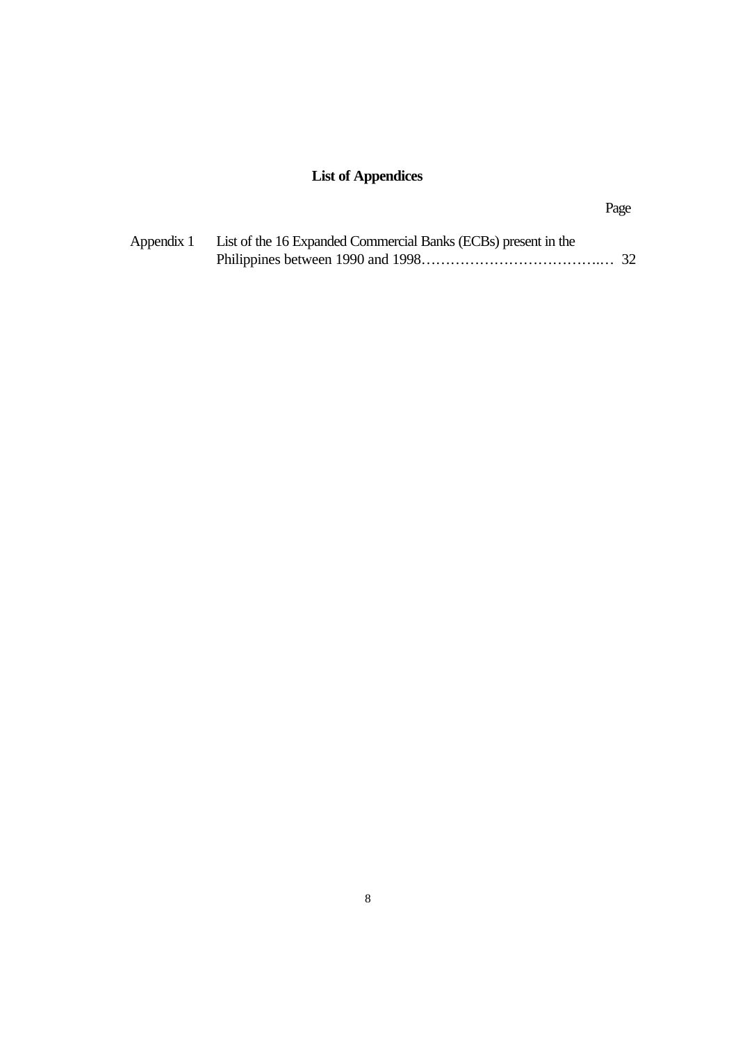# **List of Appendices**

| Appendix 1 | List of the 16 Expanded Commercial Banks (ECBs) present in the |  |  |  |  |  |  |  |
|------------|----------------------------------------------------------------|--|--|--|--|--|--|--|
|            |                                                                |  |  |  |  |  |  |  |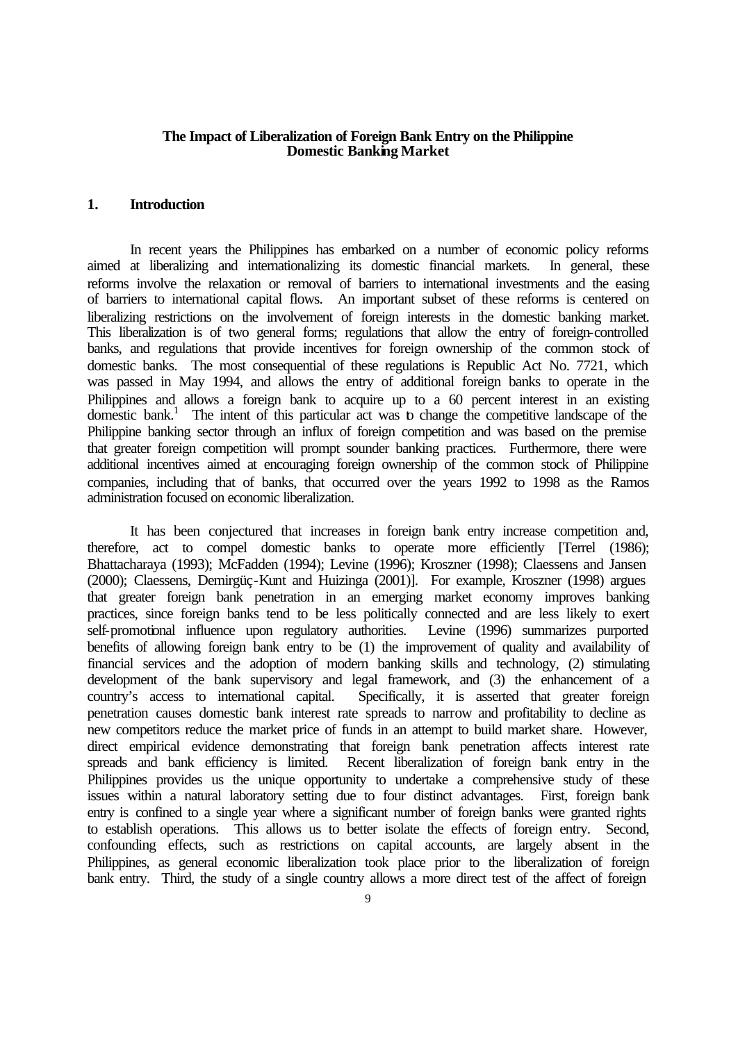## **The Impact of Liberalization of Foreign Bank Entry on the Philippine Domestic Banking Market**

## **1. Introduction**

In recent years the Philippines has embarked on a number of economic policy reforms aimed at liberalizing and internationalizing its domestic financial markets. In general, these reforms involve the relaxation or removal of barriers to international investments and the easing of barriers to international capital flows. An important subset of these reforms is centered on liberalizing restrictions on the involvement of foreign interests in the domestic banking market. This liberalization is of two general forms; regulations that allow the entry of foreign-controlled banks, and regulations that provide incentives for foreign ownership of the common stock of domestic banks. The most consequential of these regulations is Republic Act No. 7721, which was passed in May 1994, and allows the entry of additional foreign banks to operate in the Philippines and allows a foreign bank to acquire up to a 60 percent interest in an existing domestic bank.<sup>1</sup> The intent of this particular act was to change the competitive landscape of the Philippine banking sector through an influx of foreign competition and was based on the premise that greater foreign competition will prompt sounder banking practices. Furthermore, there were additional incentives aimed at encouraging foreign ownership of the common stock of Philippine companies, including that of banks, that occurred over the years 1992 to 1998 as the Ramos administration focused on economic liberalization.

It has been conjectured that increases in foreign bank entry increase competition and, therefore, act to compel domestic banks to operate more efficiently [Terrel (1986); Bhattacharaya (1993); McFadden (1994); Levine (1996); Kroszner (1998); Claessens and Jansen (2000); Claessens, Demirgüç-Kunt and Huizinga (2001)]. For example, Kroszner (1998) argues that greater foreign bank penetration in an emerging market economy improves banking practices, since foreign banks tend to be less politically connected and are less likely to exert self-promotional influence upon regulatory authorities. Levine (1996) summarizes purported benefits of allowing foreign bank entry to be (1) the improvement of quality and availability of financial services and the adoption of modern banking skills and technology, (2) stimulating development of the bank supervisory and legal framework, and (3) the enhancement of a country's access to international capital. Specifically, it is asserted that greater foreign penetration causes domestic bank interest rate spreads to narrow and profitability to decline as new competitors reduce the market price of funds in an attempt to build market share. However, direct empirical evidence demonstrating that foreign bank penetration affects interest rate spreads and bank efficiency is limited. Recent liberalization of foreign bank entry in the Philippines provides us the unique opportunity to undertake a comprehensive study of these issues within a natural laboratory setting due to four distinct advantages. First, foreign bank entry is confined to a single year where a significant number of foreign banks were granted rights to establish operations. This allows us to better isolate the effects of foreign entry. Second, confounding effects, such as restrictions on capital accounts, are largely absent in the Philippines, as general economic liberalization took place prior to the liberalization of foreign bank entry. Third, the study of a single country allows a more direct test of the affect of foreign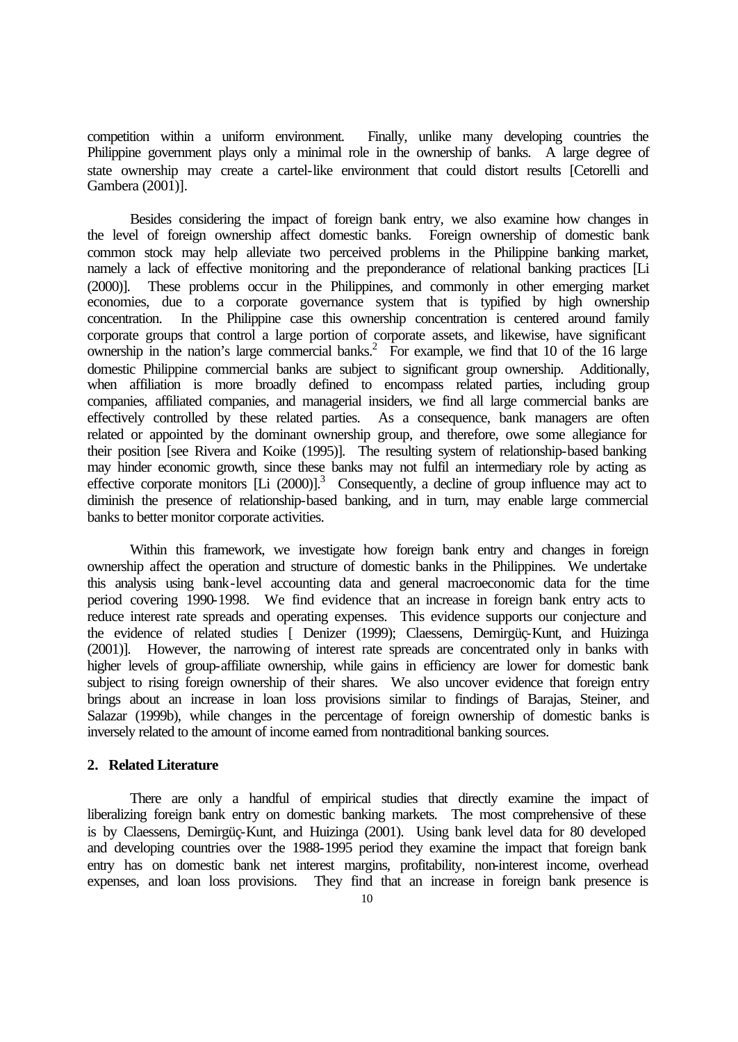competition within a uniform environment. Finally, unlike many developing countries the Philippine government plays only a minimal role in the ownership of banks. A large degree of state ownership may create a cartel-like environment that could distort results [Cetorelli and Gambera (2001)].

Besides considering the impact of foreign bank entry, we also examine how changes in the level of foreign ownership affect domestic banks. Foreign ownership of domestic bank common stock may help alleviate two perceived problems in the Philippine banking market, namely a lack of effective monitoring and the preponderance of relational banking practices [Li (2000)]. These problems occur in the Philippines, and commonly in other emerging market economies, due to a corporate governance system that is typified by high ownership concentration. In the Philippine case this ownership concentration is centered around family corporate groups that control a large portion of corporate assets, and likewise, have significant ownership in the nation's large commercial banks.<sup>2</sup> For example, we find that 10 of the 16 large domestic Philippine commercial banks are subject to significant group ownership. Additionally, when affiliation is more broadly defined to encompass related parties, including group companies, affiliated companies, and managerial insiders, we find all large commercial banks are effectively controlled by these related parties. As a consequence, bank managers are often related or appointed by the dominant ownership group, and therefore, owe some allegiance for their position [see Rivera and Koike (1995)]. The resulting system of relationship-based banking may hinder economic growth, since these banks may not fulfil an intermediary role by acting as effective corporate monitors [Li (2000)].<sup>3</sup> Consequently, a decline of group influence may act to diminish the presence of relationship-based banking, and in turn, may enable large commercial banks to better monitor corporate activities.

Within this framework, we investigate how foreign bank entry and changes in foreign ownership affect the operation and structure of domestic banks in the Philippines. We undertake this analysis using bank-level accounting data and general macroeconomic data for the time period covering 1990-1998. We find evidence that an increase in foreign bank entry acts to reduce interest rate spreads and operating expenses. This evidence supports our conjecture and the evidence of related studies [ Denizer (1999); Claessens, Demirgüç-Kunt, and Huizinga (2001)]. However, the narrowing of interest rate spreads are concentrated only in banks with higher levels of group-affiliate ownership, while gains in efficiency are lower for domestic bank subject to rising foreign ownership of their shares. We also uncover evidence that foreign entry brings about an increase in loan loss provisions similar to findings of Barajas, Steiner, and Salazar (1999b), while changes in the percentage of foreign ownership of domestic banks is inversely related to the amount of income earned from nontraditional banking sources.

# **2. Related Literature**

There are only a handful of empirical studies that directly examine the impact of liberalizing foreign bank entry on domestic banking markets. The most comprehensive of these is by Claessens, Demirgüç-Kunt, and Huizinga (2001). Using bank level data for 80 developed and developing countries over the 1988-1995 period they examine the impact that foreign bank entry has on domestic bank net interest margins, profitability, non-interest income, overhead expenses, and loan loss provisions. They find that an increase in foreign bank presence is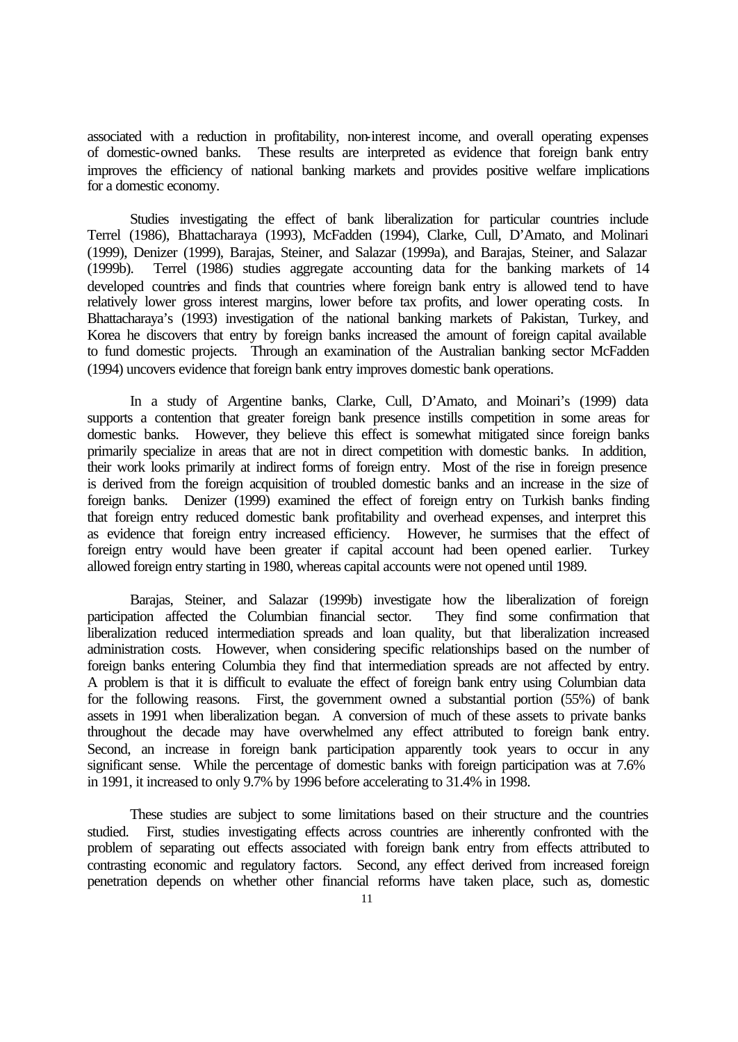associated with a reduction in profitability, non-interest income, and overall operating expenses of domestic-owned banks. These results are interpreted as evidence that foreign bank entry improves the efficiency of national banking markets and provides positive welfare implications for a domestic economy.

Studies investigating the effect of bank liberalization for particular countries include Terrel (1986), Bhattacharaya (1993), McFadden (1994), Clarke, Cull, D'Amato, and Molinari (1999), Denizer (1999), Barajas, Steiner, and Salazar (1999a), and Barajas, Steiner, and Salazar (1999b). Terrel (1986) studies aggregate accounting data for the banking markets of 14 developed countries and finds that countries where foreign bank entry is allowed tend to have relatively lower gross interest margins, lower before tax profits, and lower operating costs. In Bhattacharaya's (1993) investigation of the national banking markets of Pakistan, Turkey, and Korea he discovers that entry by foreign banks increased the amount of foreign capital available to fund domestic projects. Through an examination of the Australian banking sector McFadden (1994) uncovers evidence that foreign bank entry improves domestic bank operations.

In a study of Argentine banks, Clarke, Cull, D'Amato, and Moinari's (1999) data supports a contention that greater foreign bank presence instills competition in some areas for domestic banks. However, they believe this effect is somewhat mitigated since foreign banks primarily specialize in areas that are not in direct competition with domestic banks. In addition, their work looks primarily at indirect forms of foreign entry. Most of the rise in foreign presence is derived from the foreign acquisition of troubled domestic banks and an increase in the size of foreign banks. Denizer (1999) examined the effect of foreign entry on Turkish banks finding that foreign entry reduced domestic bank profitability and overhead expenses, and interpret this as evidence that foreign entry increased efficiency. However, he surmises that the effect of foreign entry would have been greater if capital account had been opened earlier. Turkey allowed foreign entry starting in 1980, whereas capital accounts were not opened until 1989.

Barajas, Steiner, and Salazar (1999b) investigate how the liberalization of foreign ation affected the Columbian financial sector. They find some confirmation that participation affected the Columbian financial sector. liberalization reduced intermediation spreads and loan quality, but that liberalization increased administration costs. However, when considering specific relationships based on the number of foreign banks entering Columbia they find that intermediation spreads are not affected by entry. A problem is that it is difficult to evaluate the effect of foreign bank entry using Columbian data for the following reasons. First, the government owned a substantial portion (55%) of bank assets in 1991 when liberalization began. A conversion of much of these assets to private banks throughout the decade may have overwhelmed any effect attributed to foreign bank entry. Second, an increase in foreign bank participation apparently took years to occur in any significant sense. While the percentage of domestic banks with foreign participation was at 7.6% in 1991, it increased to only 9.7% by 1996 before accelerating to 31.4% in 1998.

These studies are subject to some limitations based on their structure and the countries studied. First, studies investigating effects across countries are inherently confronted with the problem of separating out effects associated with foreign bank entry from effects attributed to contrasting economic and regulatory factors. Second, any effect derived from increased foreign penetration depends on whether other financial reforms have taken place, such as, domestic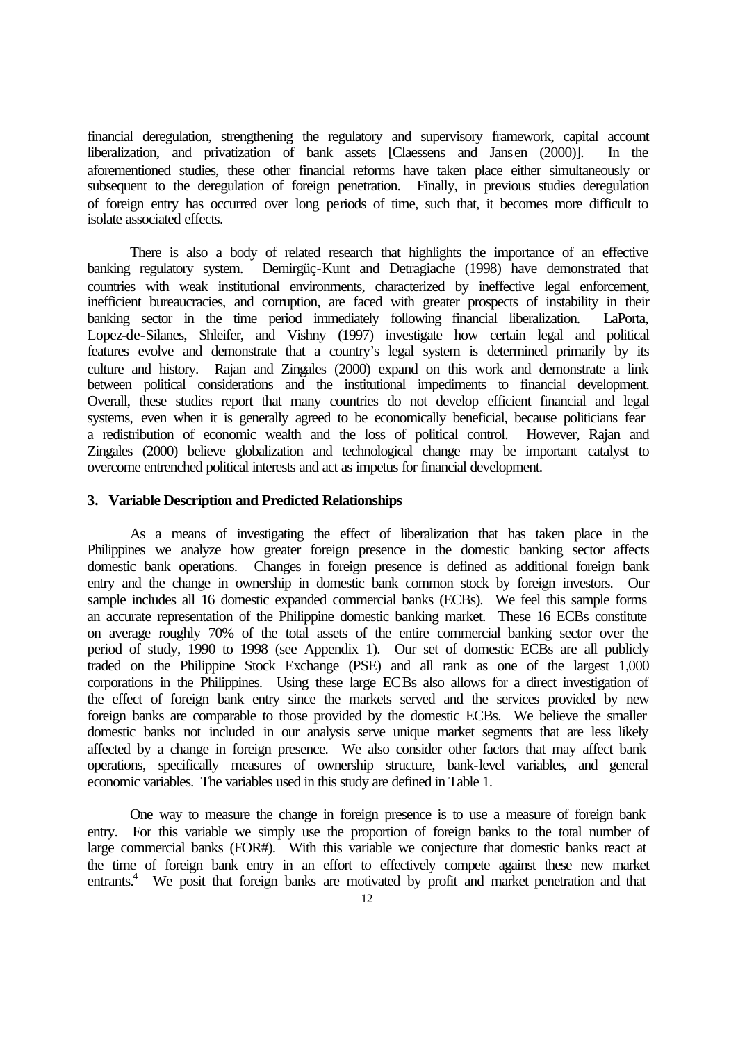financial deregulation, strengthening the regulatory and supervisory framework, capital account liberalization, and privatization of bank assets [Claessens and Jansen (2000)]. In the aforementioned studies, these other financial reforms have taken place either simultaneously or subsequent to the deregulation of foreign penetration. Finally, in previous studies deregulation of foreign entry has occurred over long periods of time, such that, it becomes more difficult to isolate associated effects.

There is also a body of related research that highlights the importance of an effective banking regulatory system. Demirgüç-Kunt and Detragiache (1998) have demonstrated that countries with weak institutional environments, characterized by ineffective legal enforcement, inefficient bureaucracies, and corruption, are faced with greater prospects of instability in their banking sector in the time period immediately following financial liberalization. LaPorta, Lopez-de-Silanes, Shleifer, and Vishny (1997) investigate how certain legal and political features evolve and demonstrate that a country's legal system is determined primarily by its culture and history. Rajan and Zingales (2000) expand on this work and demonstrate a link between political considerations and the institutional impediments to financial development. Overall, these studies report that many countries do not develop efficient financial and legal systems, even when it is generally agreed to be economically beneficial, because politicians fear a redistribution of economic wealth and the loss of political control. However, Rajan and Zingales (2000) believe globalization and technological change may be important catalyst to overcome entrenched political interests and act as impetus for financial development.

#### **3. Variable Description and Predicted Relationships**

As a means of investigating the effect of liberalization that has taken place in the Philippines we analyze how greater foreign presence in the domestic banking sector affects domestic bank operations. Changes in foreign presence is defined as additional foreign bank entry and the change in ownership in domestic bank common stock by foreign investors. Our sample includes all 16 domestic expanded commercial banks (ECBs). We feel this sample forms an accurate representation of the Philippine domestic banking market. These 16 ECBs constitute on average roughly 70% of the total assets of the entire commercial banking sector over the period of study, 1990 to 1998 (see Appendix 1). Our set of domestic ECBs are all publicly traded on the Philippine Stock Exchange (PSE) and all rank as one of the largest 1,000 corporations in the Philippines. Using these large ECBs also allows for a direct investigation of the effect of foreign bank entry since the markets served and the services provided by new foreign banks are comparable to those provided by the domestic ECBs. We believe the smaller domestic banks not included in our analysis serve unique market segments that are less likely affected by a change in foreign presence. We also consider other factors that may affect bank operations, specifically measures of ownership structure, bank-level variables, and general economic variables. The variables used in this study are defined in Table 1.

One way to measure the change in foreign presence is to use a measure of foreign bank entry. For this variable we simply use the proportion of foreign banks to the total number of large commercial banks (FOR#). With this variable we conjecture that domestic banks react at the time of foreign bank entry in an effort to effectively compete against these new market entrants.<sup>4</sup> We posit that foreign banks are motivated by profit and market penetration and that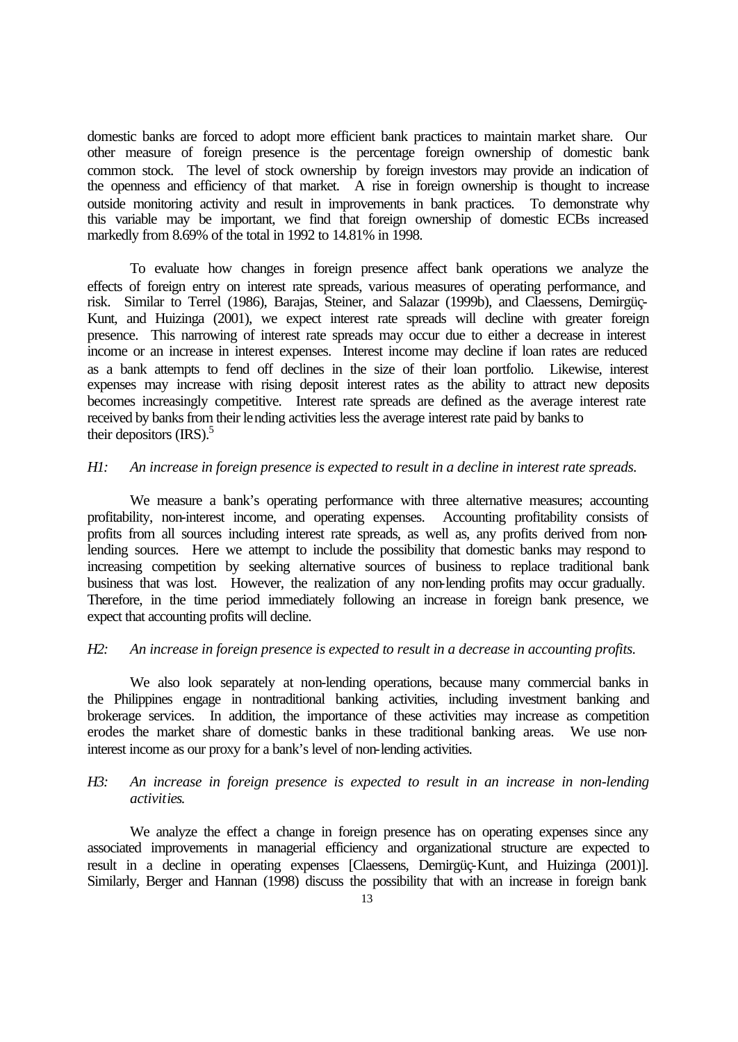domestic banks are forced to adopt more efficient bank practices to maintain market share. Our other measure of foreign presence is the percentage foreign ownership of domestic bank common stock. The level of stock ownership by foreign investors may provide an indication of the openness and efficiency of that market. A rise in foreign ownership is thought to increase outside monitoring activity and result in improvements in bank practices. To demonstrate why this variable may be important, we find that foreign ownership of domestic ECBs increased markedly from 8.69% of the total in 1992 to 14.81% in 1998.

To evaluate how changes in foreign presence affect bank operations we analyze the effects of foreign entry on interest rate spreads, various measures of operating performance, and risk. Similar to Terrel (1986), Barajas, Steiner, and Salazar (1999b), and Claessens, Demirgüç-Kunt, and Huizinga (2001), we expect interest rate spreads will decline with greater foreign presence. This narrowing of interest rate spreads may occur due to either a decrease in interest income or an increase in interest expenses. Interest income may decline if loan rates are reduced as a bank attempts to fend off declines in the size of their loan portfolio. Likewise, interest expenses may increase with rising deposit interest rates as the ability to attract new deposits becomes increasingly competitive. Interest rate spreads are defined as the average interest rate received by banks from their lending activities less the average interest rate paid by banks to their depositors  $(IRS)^5$ 

# *H1: An increase in foreign presence is expected to result in a decline in interest rate spreads.*

We measure a bank's operating performance with three alternative measures; accounting profitability, non-interest income, and operating expenses. Accounting profitability consists of profits from all sources including interest rate spreads, as well as, any profits derived from nonlending sources. Here we attempt to include the possibility that domestic banks may respond to increasing competition by seeking alternative sources of business to replace traditional bank business that was lost. However, the realization of any non-lending profits may occur gradually. Therefore, in the time period immediately following an increase in foreign bank presence, we expect that accounting profits will decline.

## *H2: An increase in foreign presence is expected to result in a decrease in accounting profits.*

We also look separately at non-lending operations, because many commercial banks in the Philippines engage in nontraditional banking activities, including investment banking and brokerage services. In addition, the importance of these activities may increase as competition erodes the market share of domestic banks in these traditional banking areas. We use noninterest income as our proxy for a bank's level of non-lending activities.

# *H3: An increase in foreign presence is expected to result in an increase in non-lending activities.*

We analyze the effect a change in foreign presence has on operating expenses since any associated improvements in managerial efficiency and organizational structure are expected to result in a decline in operating expenses [Claessens, Demirgüç-Kunt, and Huizinga (2001)]. Similarly, Berger and Hannan (1998) discuss the possibility that with an increase in foreign bank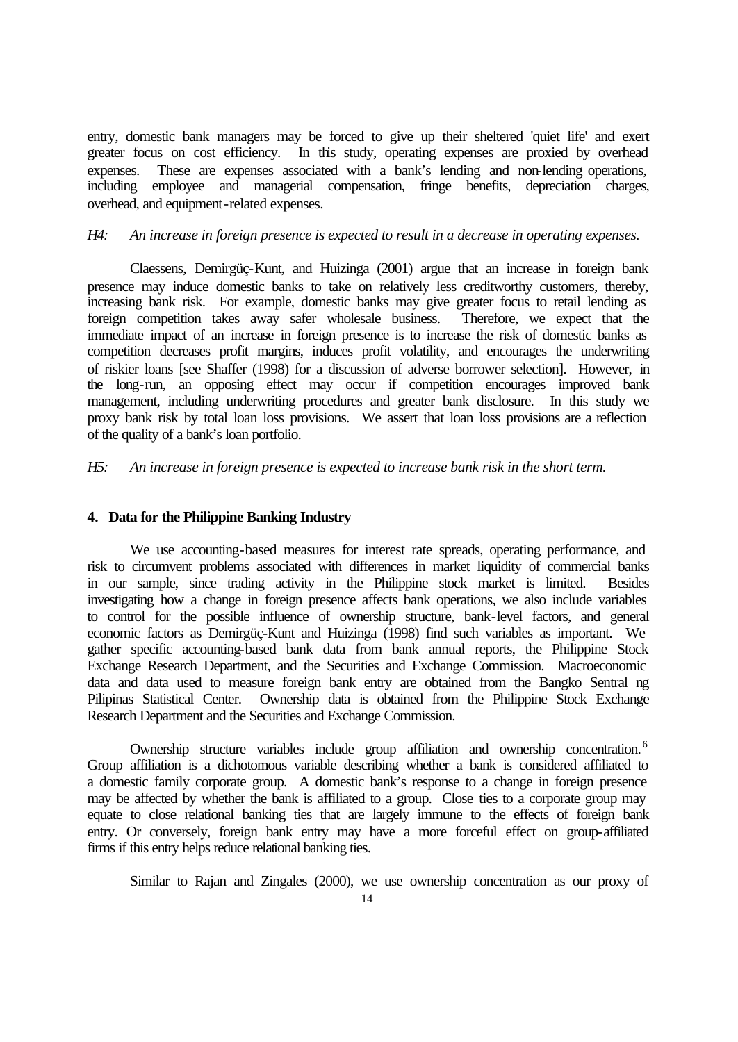entry, domestic bank managers may be forced to give up their sheltered 'quiet life' and exert greater focus on cost efficiency. In this study, operating expenses are proxied by overhead expenses. These are expenses associated with a bank's lending and non-lending operations, including employee and managerial compensation, fringe benefits, depreciation charges, overhead, and equipment-related expenses.

## *H4: An increase in foreign presence is expected to result in a decrease in operating expenses.*

Claessens, Demirgüç-Kunt, and Huizinga (2001) argue that an increase in foreign bank presence may induce domestic banks to take on relatively less creditworthy customers, thereby, increasing bank risk. For example, domestic banks may give greater focus to retail lending as foreign competition takes away safer wholesale business. Therefore, we expect that the immediate impact of an increase in foreign presence is to increase the risk of domestic banks as competition decreases profit margins, induces profit volatility, and encourages the underwriting of riskier loans [see Shaffer (1998) for a discussion of adverse borrower selection]. However, in the long-run, an opposing effect may occur if competition encourages improved bank management, including underwriting procedures and greater bank disclosure. In this study we proxy bank risk by total loan loss provisions. We assert that loan loss provisions are a reflection of the quality of a bank's loan portfolio.

*H5: An increase in foreign presence is expected to increase bank risk in the short term.*

## **4. Data for the Philippine Banking Industry**

We use accounting-based measures for interest rate spreads, operating performance, and risk to circumvent problems associated with differences in market liquidity of commercial banks in our sample, since trading activity in the Philippine stock market is limited. Besides investigating how a change in foreign presence affects bank operations, we also include variables to control for the possible influence of ownership structure, bank-level factors, and general economic factors as Demirgüç-Kunt and Huizinga (1998) find such variables as important. We gather specific accounting-based bank data from bank annual reports, the Philippine Stock Exchange Research Department, and the Securities and Exchange Commission. Macroeconomic data and data used to measure foreign bank entry are obtained from the Bangko Sentral ng Pilipinas Statistical Center. Ownership data is obtained from the Philippine Stock Exchange Research Department and the Securities and Exchange Commission.

Ownership structure variables include group affiliation and ownership concentration.<sup>6</sup> Group affiliation is a dichotomous variable describing whether a bank is considered affiliated to a domestic family corporate group. A domestic bank's response to a change in foreign presence may be affected by whether the bank is affiliated to a group. Close ties to a corporate group may equate to close relational banking ties that are largely immune to the effects of foreign bank entry. Or conversely, foreign bank entry may have a more forceful effect on group-affiliated firms if this entry helps reduce relational banking ties.

Similar to Rajan and Zingales (2000), we use ownership concentration as our proxy of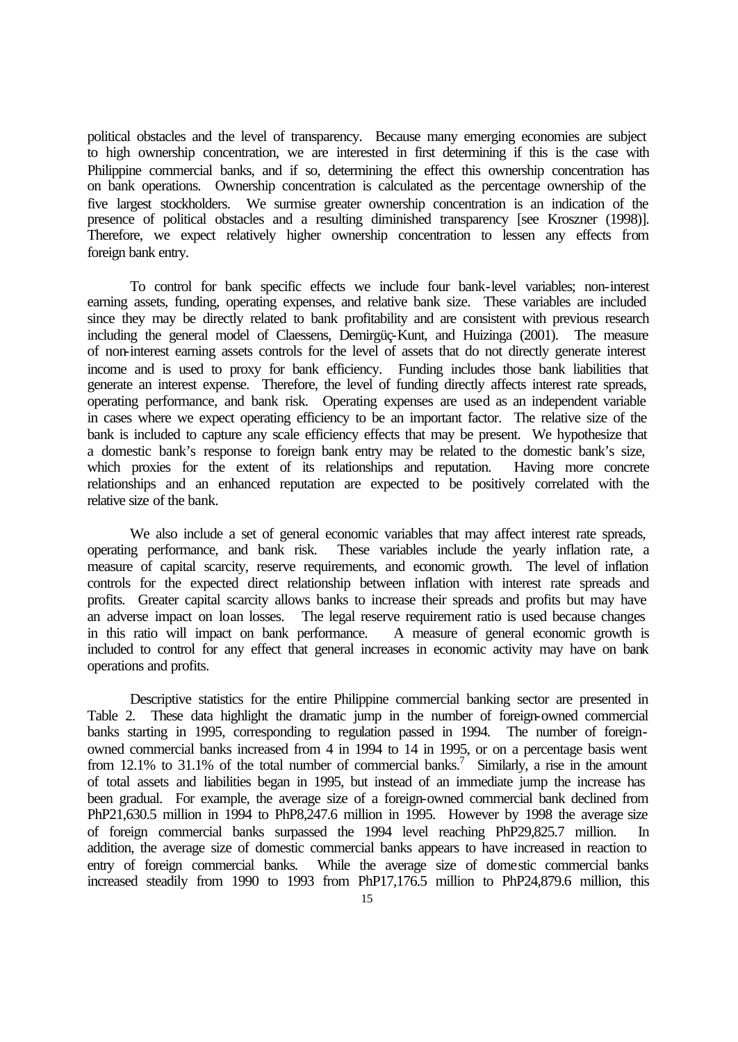political obstacles and the level of transparency. Because many emerging economies are subject to high ownership concentration, we are interested in first determining if this is the case with Philippine commercial banks, and if so, determining the effect this ownership concentration has on bank operations. Ownership concentration is calculated as the percentage ownership of the five largest stockholders. We surmise greater ownership concentration is an indication of the presence of political obstacles and a resulting diminished transparency [see Kroszner (1998)]. Therefore, we expect relatively higher ownership concentration to lessen any effects from foreign bank entry.

To control for bank specific effects we include four bank-level variables; non-interest earning assets, funding, operating expenses, and relative bank size. These variables are included since they may be directly related to bank profitability and are consistent with previous research including the general model of Claessens, Demirgüç-Kunt, and Huizinga (2001). The measure of non-interest earning assets controls for the level of assets that do not directly generate interest income and is used to proxy for bank efficiency. Funding includes those bank liabilities that generate an interest expense. Therefore, the level of funding directly affects interest rate spreads, operating performance, and bank risk. Operating expenses are used as an independent variable in cases where we expect operating efficiency to be an important factor. The relative size of the bank is included to capture any scale efficiency effects that may be present. We hypothesize that a domestic bank's response to foreign bank entry may be related to the domestic bank's size, which proxies for the extent of its relationships and reputation. Having more concrete which proxies for the extent of its relationships and reputation. relationships and an enhanced reputation are expected to be positively correlated with the relative size of the bank.

We also include a set of general economic variables that may affect interest rate spreads, operating performance, and bank risk. These variables include the yearly inflation rate, a measure of capital scarcity, reserve requirements, and economic growth. The level of inflation controls for the expected direct relationship between inflation with interest rate spreads and profits. Greater capital scarcity allows banks to increase their spreads and profits but may have an adverse impact on loan losses. The legal reserve requirement ratio is used because changes in this ratio will impact on bank performance. A measure of general economic growth is included to control for any effect that general increases in economic activity may have on bank operations and profits.

Descriptive statistics for the entire Philippine commercial banking sector are presented in Table 2. These data highlight the dramatic jump in the number of foreign-owned commercial banks starting in 1995, corresponding to regulation passed in 1994. The number of foreignowned commercial banks increased from 4 in 1994 to 14 in 1995, or on a percentage basis went from 12.1% to 31.1% of the total number of commercial banks.<sup>7</sup> Similarly, a rise in the amount of total assets and liabilities began in 1995, but instead of an immediate jump the increase has been gradual. For example, the average size of a foreign-owned commercial bank declined from PhP21,630.5 million in 1994 to PhP8,247.6 million in 1995. However by 1998 the average size of foreign commercial banks surpassed the 1994 level reaching PhP29,825.7 million. In addition, the average size of domestic commercial banks appears to have increased in reaction to entry of foreign commercial banks. While the average size of domestic commercial banks increased steadily from 1990 to 1993 from PhP17,176.5 million to PhP24,879.6 million, this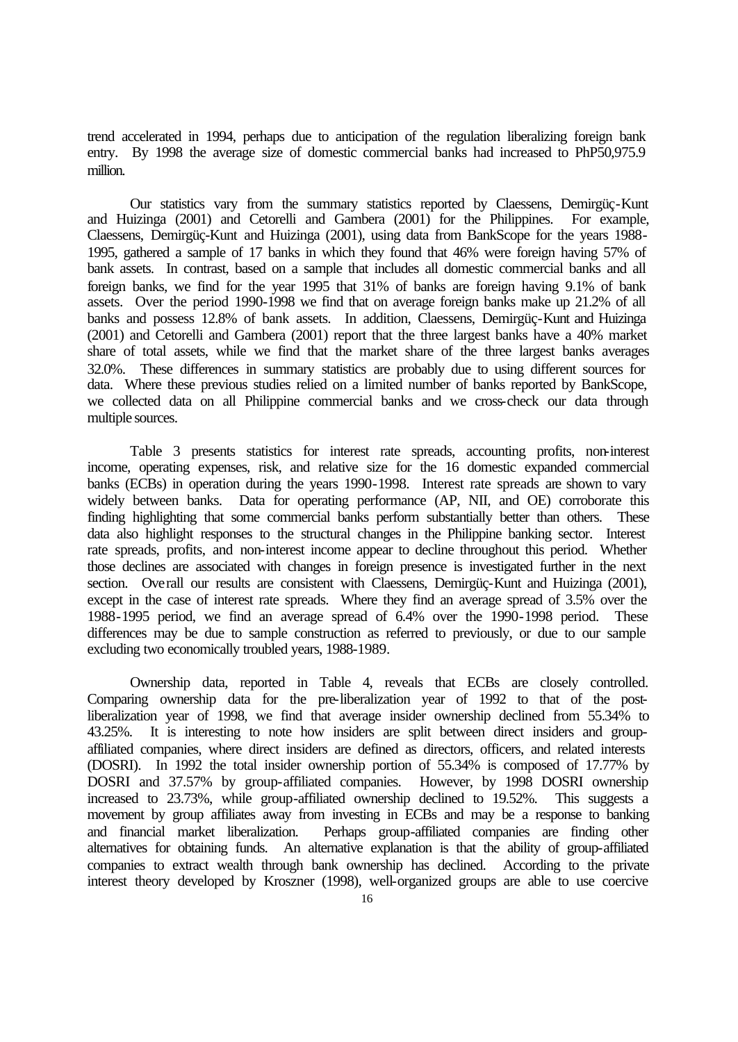trend accelerated in 1994, perhaps due to anticipation of the regulation liberalizing foreign bank entry. By 1998 the average size of domestic commercial banks had increased to PhP50,975.9 million.

Our statistics vary from the summary statistics reported by Claessens, Demirgüç-Kunt and Huizinga (2001) and Cetorelli and Gambera (2001) for the Philippines. For example, Claessens, Demirgüç-Kunt and Huizinga (2001), using data from BankScope for the years 1988- 1995, gathered a sample of 17 banks in which they found that 46% were foreign having 57% of bank assets. In contrast, based on a sample that includes all domestic commercial banks and all foreign banks, we find for the year 1995 that 31% of banks are foreign having 9.1% of bank assets. Over the period 1990-1998 we find that on average foreign banks make up 21.2% of all banks and possess 12.8% of bank assets. In addition, Claessens, Demirgüç-Kunt and Huizinga (2001) and Cetorelli and Gambera (2001) report that the three largest banks have a 40% market share of total assets, while we find that the market share of the three largest banks averages 32.0%. These differences in summary statistics are probably due to using different sources for data. Where these previous studies relied on a limited number of banks reported by BankScope, we collected data on all Philippine commercial banks and we cross-check our data through multiple sources.

Table 3 presents statistics for interest rate spreads, accounting profits, non-interest income, operating expenses, risk, and relative size for the 16 domestic expanded commercial banks (ECBs) in operation during the years 1990-1998. Interest rate spreads are shown to vary widely between banks. Data for operating performance (AP, NII, and OE) corroborate this finding highlighting that some commercial banks perform substantially better than others. These data also highlight responses to the structural changes in the Philippine banking sector. Interest rate spreads, profits, and non-interest income appear to decline throughout this period. Whether those declines are associated with changes in foreign presence is investigated further in the next section. Overall our results are consistent with Claessens, Demirgüç-Kunt and Huizinga (2001), except in the case of interest rate spreads. Where they find an average spread of 3.5% over the 1988-1995 period, we find an average spread of 6.4% over the 1990-1998 period. These differences may be due to sample construction as referred to previously, or due to our sample excluding two economically troubled years, 1988-1989.

Ownership data, reported in Table 4, reveals that ECBs are closely controlled. Comparing ownership data for the pre-liberalization year of 1992 to that of the postliberalization year of 1998, we find that average insider ownership declined from 55.34% to 43.25%. It is interesting to note how insiders are split between direct insiders and groupaffiliated companies, where direct insiders are defined as directors, officers, and related interests (DOSRI). In 1992 the total insider ownership portion of 55.34% is composed of 17.77% by DOSRI and 37.57% by group-affiliated companies. However, by 1998 DOSRI ownership increased to 23.73%, while group-affiliated ownership declined to 19.52%. This suggests a movement by group affiliates away from investing in ECBs and may be a response to banking and financial market liberalization. Perhaps group-affiliated companies are finding other alternatives for obtaining funds. An alternative explanation is that the ability of group-affiliated companies to extract wealth through bank ownership has declined. According to the private interest theory developed by Kroszner (1998), well-organized groups are able to use coercive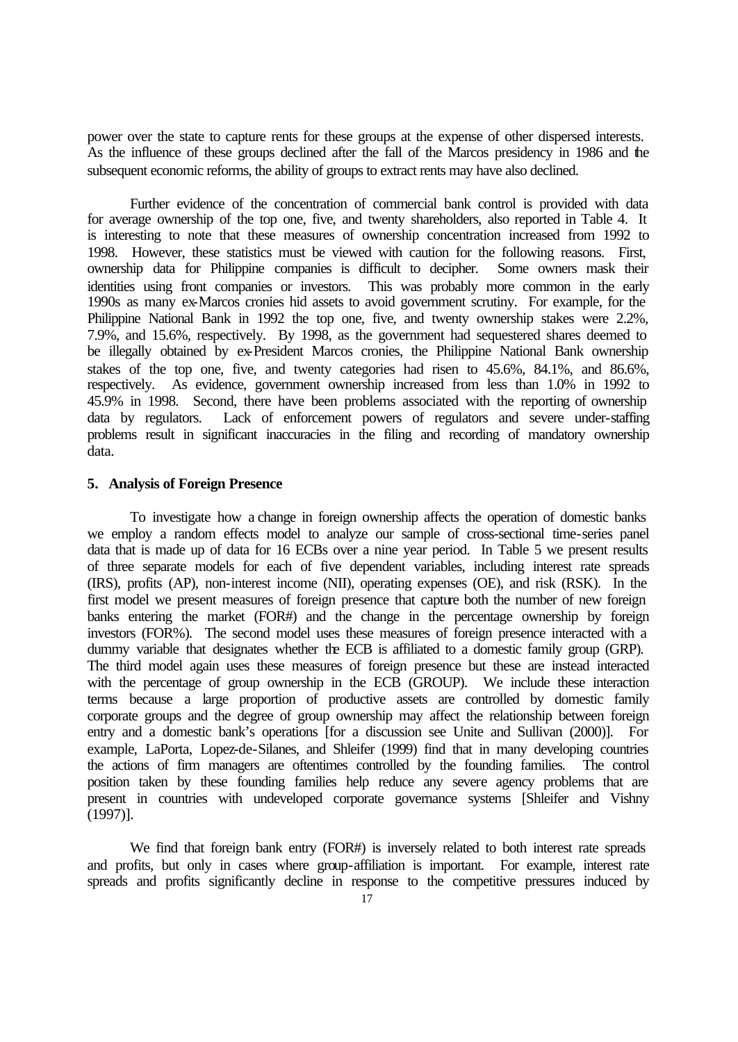power over the state to capture rents for these groups at the expense of other dispersed interests. As the influence of these groups declined after the fall of the Marcos presidency in 1986 and the subsequent economic reforms, the ability of groups to extract rents may have also declined.

Further evidence of the concentration of commercial bank control is provided with data for average ownership of the top one, five, and twenty shareholders, also reported in Table 4. It is interesting to note that these measures of ownership concentration increased from 1992 to 1998. However, these statistics must be viewed with caution for the following reasons. First, ownership data for Philippine companies is difficult to decipher. Some owners mask their identities using front companies or investors. This was probably more common in the early 1990s as many ex-Marcos cronies hid assets to avoid government scrutiny. For example, for the Philippine National Bank in 1992 the top one, five, and twenty ownership stakes were 2.2%, 7.9%, and 15.6%, respectively. By 1998, as the government had sequestered shares deemed to be illegally obtained by ex-President Marcos cronies, the Philippine National Bank ownership stakes of the top one, five, and twenty categories had risen to 45.6%, 84.1%, and 86.6%, respectively. As evidence, government ownership increased from less than 1.0% in 1992 to 45.9% in 1998. Second, there have been problems associated with the reporting of ownership data by regulators. Lack of enforcement powers of regulators and severe under-staffing problems result in significant inaccuracies in the filing and recording of mandatory ownership data.

# **5. Analysis of Foreign Presence**

To investigate how a change in foreign ownership affects the operation of domestic banks we employ a random effects model to analyze our sample of cross-sectional time-series panel data that is made up of data for 16 ECBs over a nine year period. In Table 5 we present results of three separate models for each of five dependent variables, including interest rate spreads (IRS), profits (AP), non-interest income (NII), operating expenses (OE), and risk (RSK). In the first model we present measures of foreign presence that capture both the number of new foreign banks entering the market (FOR#) and the change in the percentage ownership by foreign investors (FOR%). The second model uses these measures of foreign presence interacted with a dummy variable that designates whether the ECB is affiliated to a domestic family group (GRP). The third model again uses these measures of foreign presence but these are instead interacted with the percentage of group ownership in the ECB (GROUP). We include these interaction terms because a large proportion of productive assets are controlled by domestic family corporate groups and the degree of group ownership may affect the relationship between foreign entry and a domestic bank's operations [for a discussion see Unite and Sullivan (2000)]. For example, LaPorta, Lopez-de-Silanes, and Shleifer (1999) find that in many developing countries the actions of firm managers are oftentimes controlled by the founding families. The control position taken by these founding families help reduce any severe agency problems that are present in countries with undeveloped corporate governance systems [Shleifer and Vishny  $(1997)$ ].

We find that foreign bank entry (FOR#) is inversely related to both interest rate spreads and profits, but only in cases where group-affiliation is important. For example, interest rate spreads and profits significantly decline in response to the competitive pressures induced by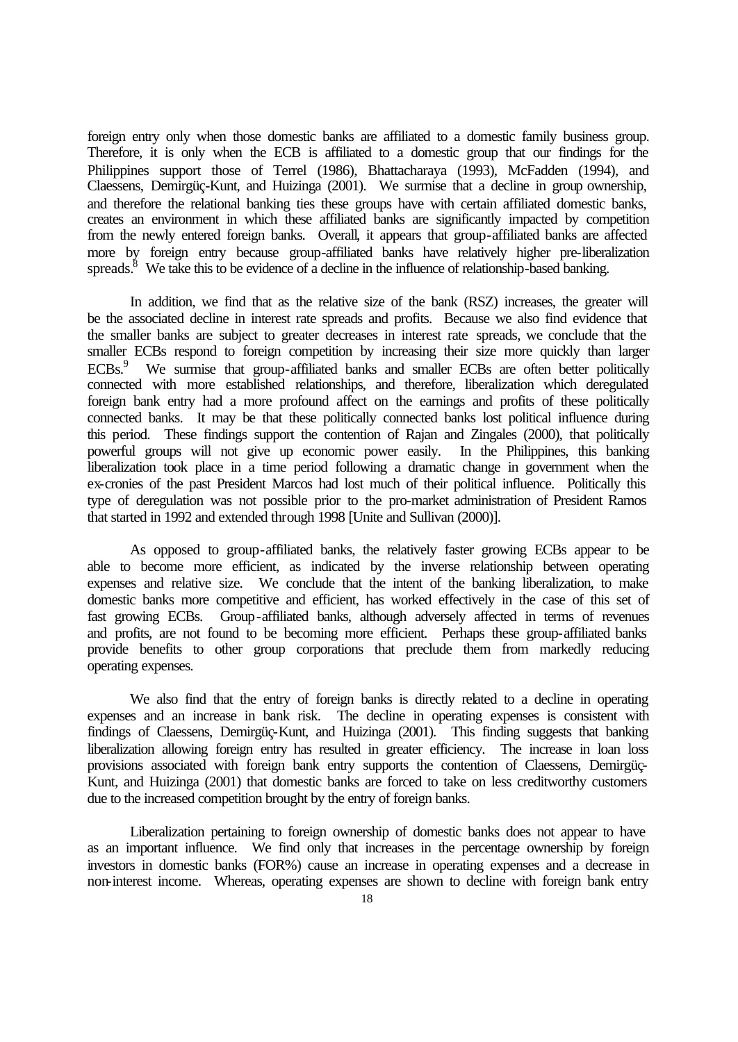foreign entry only when those domestic banks are affiliated to a domestic family business group. Therefore, it is only when the ECB is affiliated to a domestic group that our findings for the Philippines support those of Terrel (1986), Bhattacharaya (1993), McFadden (1994), and Claessens, Demirgüç-Kunt, and Huizinga (2001). We surmise that a decline in group ownership, and therefore the relational banking ties these groups have with certain affiliated domestic banks, creates an environment in which these affiliated banks are significantly impacted by competition from the newly entered foreign banks. Overall, it appears that group-affiliated banks are affected more by foreign entry because group-affiliated banks have relatively higher pre-liberalization spreads.<sup>8</sup> We take this to be evidence of a decline in the influence of relationship-based banking.

In addition, we find that as the relative size of the bank (RSZ) increases, the greater will be the associated decline in interest rate spreads and profits. Because we also find evidence that the smaller banks are subject to greater decreases in interest rate spreads, we conclude that the smaller ECBs respond to foreign competition by increasing their size more quickly than larger ECBs.<sup>9</sup> We surmise that group-affiliated banks and smaller ECBs are often better politically connected with more established relationships, and therefore, liberalization which deregulated foreign bank entry had a more profound affect on the earnings and profits of these politically connected banks. It may be that these politically connected banks lost political influence during this period. These findings support the contention of Rajan and Zingales (2000), that politically powerful groups will not give up economic power easily. In the Philippines, this banking liberalization took place in a time period following a dramatic change in government when the ex-cronies of the past President Marcos had lost much of their political influence. Politically this type of deregulation was not possible prior to the pro-market administration of President Ramos that started in 1992 and extended through 1998 [Unite and Sullivan (2000)].

As opposed to group-affiliated banks, the relatively faster growing ECBs appear to be able to become more efficient, as indicated by the inverse relationship between operating expenses and relative size. We conclude that the intent of the banking liberalization, to make domestic banks more competitive and efficient, has worked effectively in the case of this set of fast growing ECBs. Group-affiliated banks, although adversely affected in terms of revenues and profits, are not found to be becoming more efficient. Perhaps these group-affiliated banks provide benefits to other group corporations that preclude them from markedly reducing operating expenses.

We also find that the entry of foreign banks is directly related to a decline in operating expenses and an increase in bank risk. The decline in operating expenses is consistent with findings of Claessens, Demirgüç-Kunt, and Huizinga (2001). This finding suggests that banking liberalization allowing foreign entry has resulted in greater efficiency. The increase in loan loss provisions associated with foreign bank entry supports the contention of Claessens, Demirgüç-Kunt, and Huizinga (2001) that domestic banks are forced to take on less creditworthy customers due to the increased competition brought by the entry of foreign banks.

Liberalization pertaining to foreign ownership of domestic banks does not appear to have as an important influence. We find only that increases in the percentage ownership by foreign investors in domestic banks (FOR%) cause an increase in operating expenses and a decrease in non-interest income. Whereas, operating expenses are shown to decline with foreign bank entry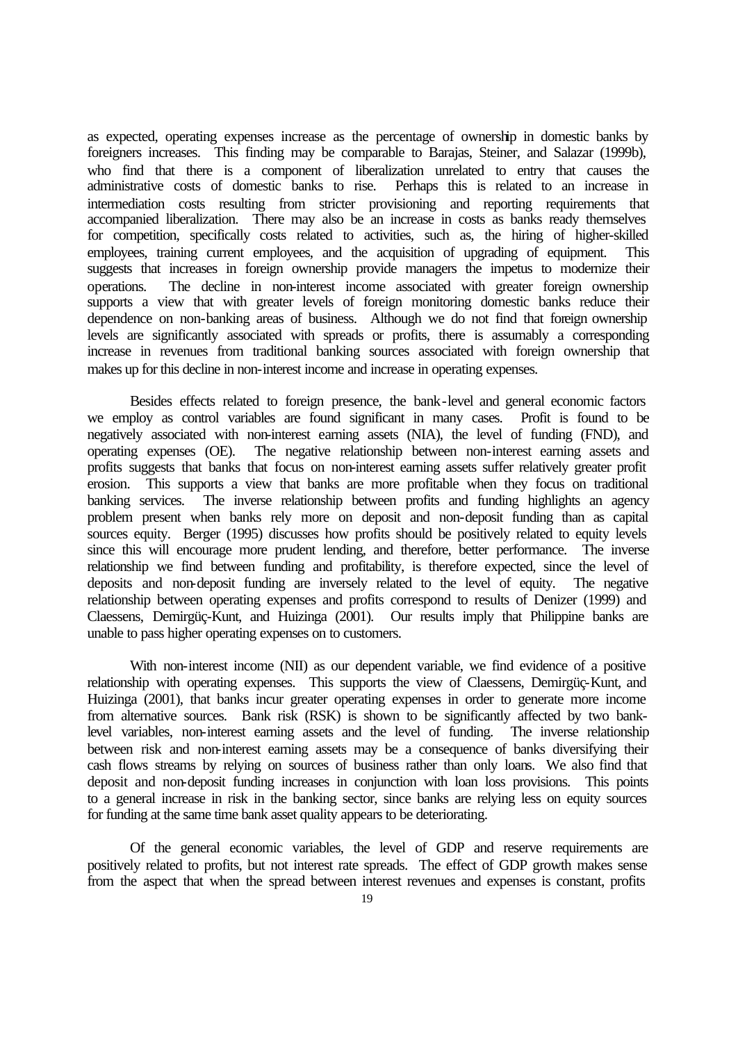as expected, operating expenses increase as the percentage of ownership in domestic banks by foreigners increases. This finding may be comparable to Barajas, Steiner, and Salazar (1999b), who find that there is a component of liberalization unrelated to entry that causes the administrative costs of domestic banks to rise. Perhaps this is related to an increase in intermediation costs resulting from stricter provisioning and reporting requirements that accompanied liberalization. There may also be an increase in costs as banks ready themselves for competition, specifically costs related to activities, such as, the hiring of higher-skilled employees, training current employees, and the acquisition of upgrading of equipment. This suggests that increases in foreign ownership provide managers the impetus to modernize their operations. The decline in non-interest income associated with greater foreign ownership supports a view that with greater levels of foreign monitoring domestic banks reduce their dependence on non-banking areas of business. Although we do not find that foreign ownership levels are significantly associated with spreads or profits, there is assumably a corresponding increase in revenues from traditional banking sources associated with foreign ownership that makes up for this decline in non-interest income and increase in operating expenses.

Besides effects related to foreign presence, the bank-level and general economic factors we employ as control variables are found significant in many cases. Profit is found to be negatively associated with non-interest earning assets (NIA), the level of funding (FND), and operating expenses (OE). The negative relationship between non-interest earning assets and profits suggests that banks that focus on non-interest earning assets suffer relatively greater profit erosion. This supports a view that banks are more profitable when they focus on traditional banking services. The inverse relationship between profits and funding highlights an agency problem present when banks rely more on deposit and non-deposit funding than as capital sources equity. Berger (1995) discusses how profits should be positively related to equity levels since this will encourage more prudent lending, and therefore, better performance. The inverse relationship we find between funding and profitability, is therefore expected, since the level of deposits and non-deposit funding are inversely related to the level of equity. The negative relationship between operating expenses and profits correspond to results of Denizer (1999) and Claessens, Demirgüç-Kunt, and Huizinga (2001). Our results imply that Philippine banks are unable to pass higher operating expenses on to customers.

With non-interest income (NII) as our dependent variable, we find evidence of a positive relationship with operating expenses. This supports the view of Claessens, Demirgüç-Kunt, and Huizinga (2001), that banks incur greater operating expenses in order to generate more income from alternative sources. Bank risk (RSK) is shown to be significantly affected by two banklevel variables, non-interest earning assets and the level of funding. The inverse relationship between risk and non-interest earning assets may be a consequence of banks diversifying their cash flows streams by relying on sources of business rather than only loans. We also find that deposit and non-deposit funding increases in conjunction with loan loss provisions. This points to a general increase in risk in the banking sector, since banks are relying less on equity sources for funding at the same time bank asset quality appears to be deteriorating.

Of the general economic variables, the level of GDP and reserve requirements are positively related to profits, but not interest rate spreads. The effect of GDP growth makes sense from the aspect that when the spread between interest revenues and expenses is constant, profits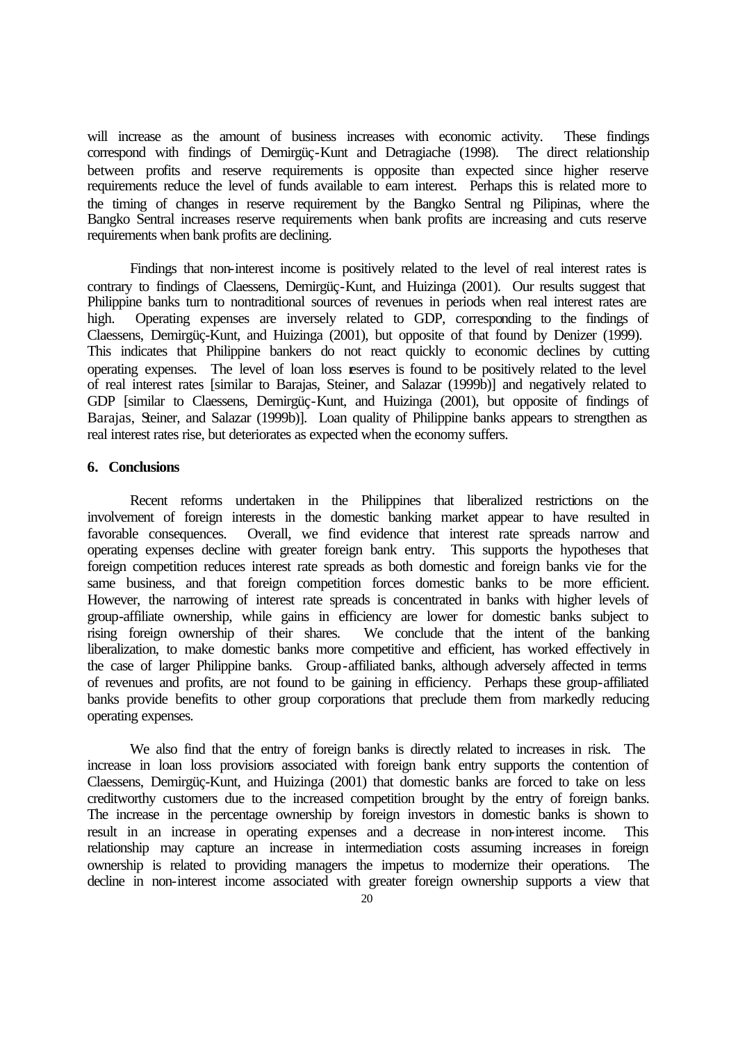will increase as the amount of business increases with economic activity. These findings correspond with findings of Demirgüç-Kunt and Detragiache (1998). The direct relationship between profits and reserve requirements is opposite than expected since higher reserve requirements reduce the level of funds available to earn interest. Perhaps this is related more to the timing of changes in reserve requirement by the Bangko Sentral ng Pilipinas, where the Bangko Sentral increases reserve requirements when bank profits are increasing and cuts reserve requirements when bank profits are declining.

Findings that non-interest income is positively related to the level of real interest rates is contrary to findings of Claessens, Demirgüç-Kunt, and Huizinga (2001). Our results suggest that Philippine banks turn to nontraditional sources of revenues in periods when real interest rates are high. Operating expenses are inversely related to GDP, corresponding to the findings of Claessens, Demirgüç-Kunt, and Huizinga (2001), but opposite of that found by Denizer (1999). This indicates that Philippine bankers do not react quickly to economic declines by cutting operating expenses. The level of loan loss reserves is found to be positively related to the level of real interest rates [similar to Barajas, Steiner, and Salazar (1999b)] and negatively related to GDP [similar to Claessens, Demirgüç-Kunt, and Huizinga (2001), but opposite of findings of Barajas, Steiner, and Salazar (1999b)]. Loan quality of Philippine banks appears to strengthen as real interest rates rise, but deteriorates as expected when the economy suffers.

# **6. Conclusions**

Recent reforms undertaken in the Philippines that liberalized restrictions on the involvement of foreign interests in the domestic banking market appear to have resulted in favorable consequences. Overall, we find evidence that interest rate spreads narrow and operating expenses decline with greater foreign bank entry. This supports the hypotheses that foreign competition reduces interest rate spreads as both domestic and foreign banks vie for the same business, and that foreign competition forces domestic banks to be more efficient. However, the narrowing of interest rate spreads is concentrated in banks with higher levels of group-affiliate ownership, while gains in efficiency are lower for domestic banks subject to rising foreign ownership of their shares. We conclude that the intent of the banking liberalization, to make domestic banks more competitive and efficient, has worked effectively in the case of larger Philippine banks. Group-affiliated banks, although adversely affected in terms of revenues and profits, are not found to be gaining in efficiency. Perhaps these group-affiliated banks provide benefits to other group corporations that preclude them from markedly reducing operating expenses.

We also find that the entry of foreign banks is directly related to increases in risk. The increase in loan loss provisions associated with foreign bank entry supports the contention of Claessens, Demirgüç-Kunt, and Huizinga (2001) that domestic banks are forced to take on less creditworthy customers due to the increased competition brought by the entry of foreign banks. The increase in the percentage ownership by foreign investors in domestic banks is shown to result in an increase in operating expenses and a decrease in non-interest income. This relationship may capture an increase in intermediation costs assuming increases in foreign ownership is related to providing managers the impetus to modernize their operations. The decline in non-interest income associated with greater foreign ownership supports a view that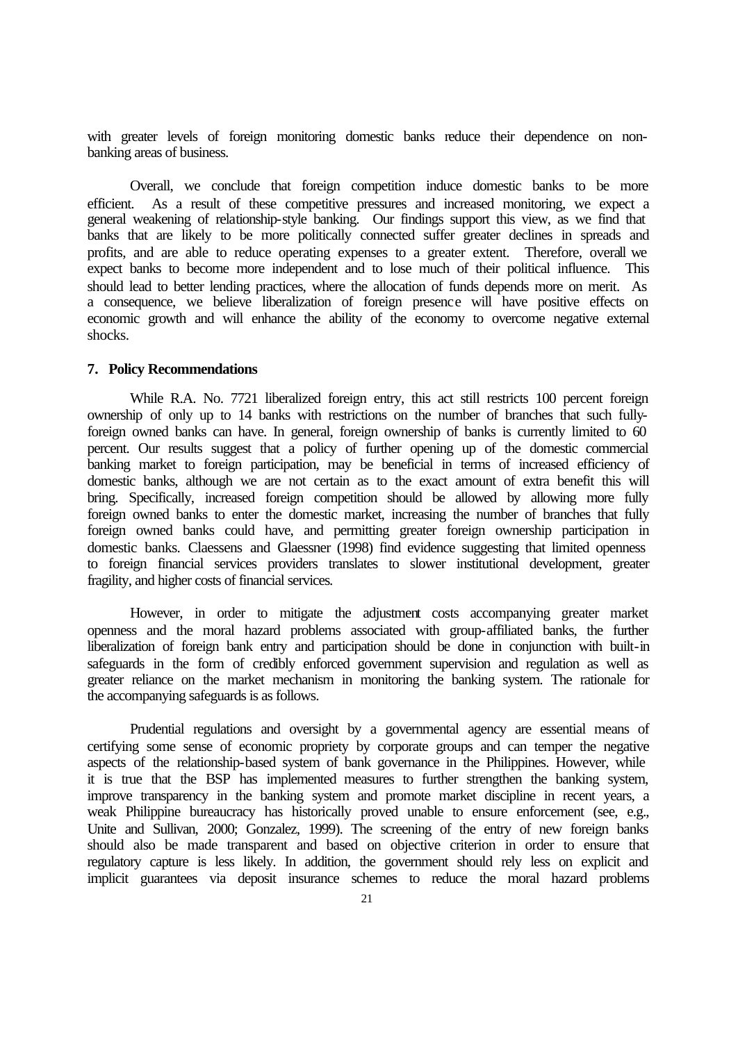with greater levels of foreign monitoring domestic banks reduce their dependence on nonbanking areas of business.

Overall, we conclude that foreign competition induce domestic banks to be more efficient. As a result of these competitive pressures and increased monitoring, we expect a general weakening of relationship-style banking. Our findings support this view, as we find that banks that are likely to be more politically connected suffer greater declines in spreads and profits, and are able to reduce operating expenses to a greater extent. Therefore, overall we expect banks to become more independent and to lose much of their political influence. This should lead to better lending practices, where the allocation of funds depends more on merit. As a consequence, we believe liberalization of foreign presence will have positive effects on economic growth and will enhance the ability of the economy to overcome negative external shocks.

#### **7. Policy Recommendations**

While R.A. No. 7721 liberalized foreign entry, this act still restricts 100 percent foreign ownership of only up to 14 banks with restrictions on the number of branches that such fullyforeign owned banks can have. In general, foreign ownership of banks is currently limited to 60 percent. Our results suggest that a policy of further opening up of the domestic commercial banking market to foreign participation, may be beneficial in terms of increased efficiency of domestic banks, although we are not certain as to the exact amount of extra benefit this will bring. Specifically, increased foreign competition should be allowed by allowing more fully foreign owned banks to enter the domestic market, increasing the number of branches that fully foreign owned banks could have, and permitting greater foreign ownership participation in domestic banks. Claessens and Glaessner (1998) find evidence suggesting that limited openness to foreign financial services providers translates to slower institutional development, greater fragility, and higher costs of financial services.

However, in order to mitigate the adjustment costs accompanying greater market openness and the moral hazard problems associated with group-affiliated banks, the further liberalization of foreign bank entry and participation should be done in conjunction with built-in safeguards in the form of credibly enforced government supervision and regulation as well as greater reliance on the market mechanism in monitoring the banking system. The rationale for the accompanying safeguards is as follows.

Prudential regulations and oversight by a governmental agency are essential means of certifying some sense of economic propriety by corporate groups and can temper the negative aspects of the relationship-based system of bank governance in the Philippines. However, while it is true that the BSP has implemented measures to further strengthen the banking system, improve transparency in the banking system and promote market discipline in recent years, a weak Philippine bureaucracy has historically proved unable to ensure enforcement (see, e.g., Unite and Sullivan, 2000; Gonzalez, 1999). The screening of the entry of new foreign banks should also be made transparent and based on objective criterion in order to ensure that regulatory capture is less likely. In addition, the government should rely less on explicit and implicit guarantees via deposit insurance schemes to reduce the moral hazard problems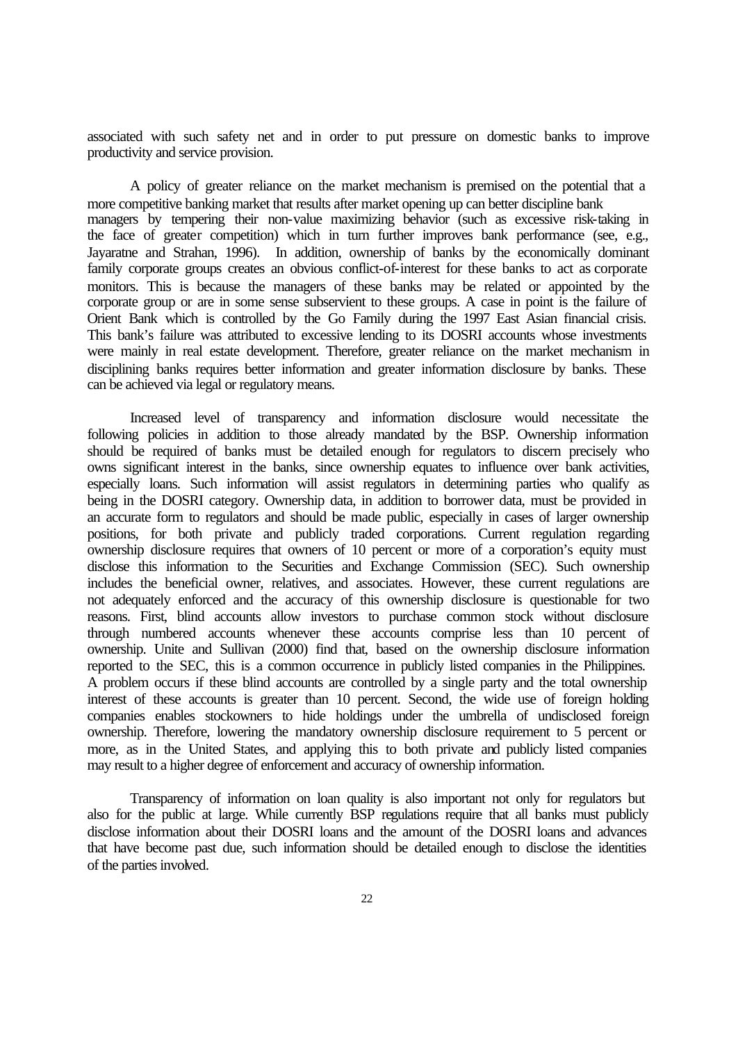associated with such safety net and in order to put pressure on domestic banks to improve productivity and service provision.

A policy of greater reliance on the market mechanism is premised on the potential that a more competitive banking market that results after market opening up can better discipline bank managers by tempering their non-value maximizing behavior (such as excessive risk-taking in the face of greater competition) which in turn further improves bank performance (see, e.g., Jayaratne and Strahan, 1996). In addition, ownership of banks by the economically dominant family corporate groups creates an obvious conflict-of-interest for these banks to act as corporate monitors. This is because the managers of these banks may be related or appointed by the corporate group or are in some sense subservient to these groups. A case in point is the failure of Orient Bank which is controlled by the Go Family during the 1997 East Asian financial crisis. This bank's failure was attributed to excessive lending to its DOSRI accounts whose investments were mainly in real estate development. Therefore, greater reliance on the market mechanism in disciplining banks requires better information and greater information disclosure by banks. These can be achieved via legal or regulatory means.

Increased level of transparency and information disclosure would necessitate the following policies in addition to those already mandated by the BSP. Ownership information should be required of banks must be detailed enough for regulators to discern precisely who owns significant interest in the banks, since ownership equates to influence over bank activities, especially loans. Such information will assist regulators in determining parties who qualify as being in the DOSRI category. Ownership data, in addition to borrower data, must be provided in an accurate form to regulators and should be made public, especially in cases of larger ownership positions, for both private and publicly traded corporations. Current regulation regarding ownership disclosure requires that owners of 10 percent or more of a corporation's equity must disclose this information to the Securities and Exchange Commission (SEC). Such ownership includes the beneficial owner, relatives, and associates. However, these current regulations are not adequately enforced and the accuracy of this ownership disclosure is questionable for two reasons. First, blind accounts allow investors to purchase common stock without disclosure through numbered accounts whenever these accounts comprise less than 10 percent of ownership. Unite and Sullivan (2000) find that, based on the ownership disclosure information reported to the SEC, this is a common occurrence in publicly listed companies in the Philippines. A problem occurs if these blind accounts are controlled by a single party and the total ownership interest of these accounts is greater than 10 percent. Second, the wide use of foreign holding companies enables stockowners to hide holdings under the umbrella of undisclosed foreign ownership. Therefore, lowering the mandatory ownership disclosure requirement to 5 percent or more, as in the United States, and applying this to both private and publicly listed companies may result to a higher degree of enforcement and accuracy of ownership information.

Transparency of information on loan quality is also important not only for regulators but also for the public at large. While currently BSP regulations require that all banks must publicly disclose information about their DOSRI loans and the amount of the DOSRI loans and advances that have become past due, such information should be detailed enough to disclose the identities of the parties involved.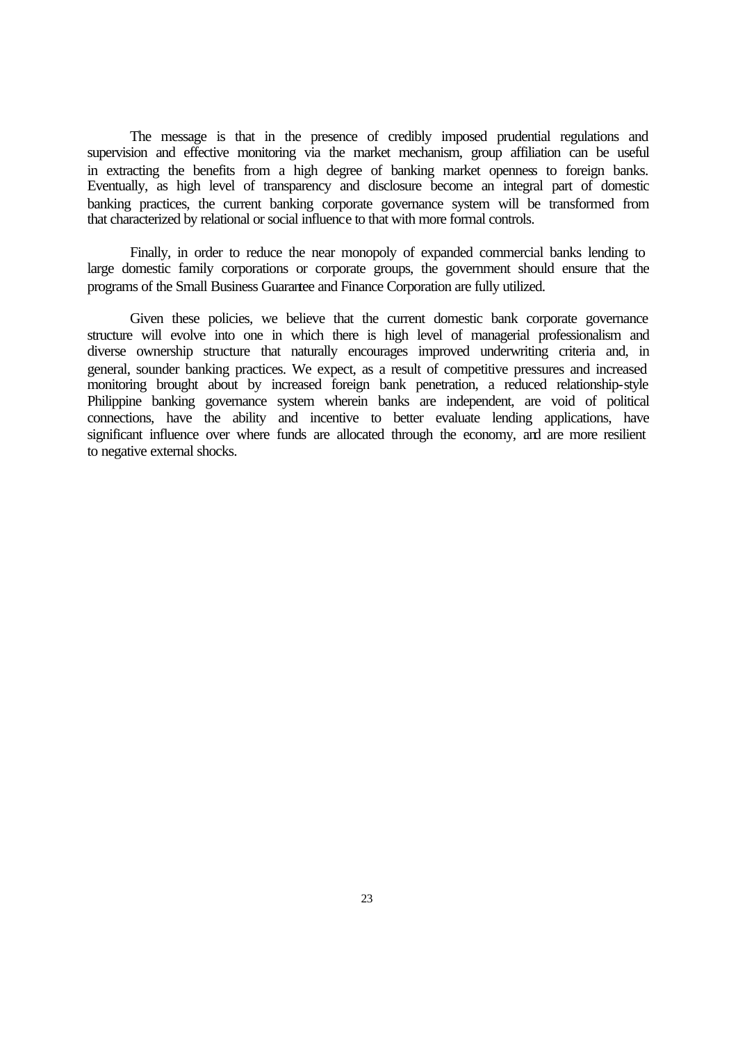The message is that in the presence of credibly imposed prudential regulations and supervision and effective monitoring via the market mechanism, group affiliation can be useful in extracting the benefits from a high degree of banking market openness to foreign banks. Eventually, as high level of transparency and disclosure become an integral part of domestic banking practices, the current banking corporate governance system will be transformed from that characterized by relational or social influence to that with more formal controls.

Finally, in order to reduce the near monopoly of expanded commercial banks lending to large domestic family corporations or corporate groups, the government should ensure that the programs of the Small Business Guarantee and Finance Corporation are fully utilized.

Given these policies, we believe that the current domestic bank corporate governance structure will evolve into one in which there is high level of managerial professionalism and diverse ownership structure that naturally encourages improved underwriting criteria and, in general, sounder banking practices. We expect, as a result of competitive pressures and increased monitoring brought about by increased foreign bank penetration, a reduced relationship-style Philippine banking governance system wherein banks are independent, are void of political connections, have the ability and incentive to better evaluate lending applications, have significant influence over where funds are allocated through the economy, and are more resilient to negative external shocks.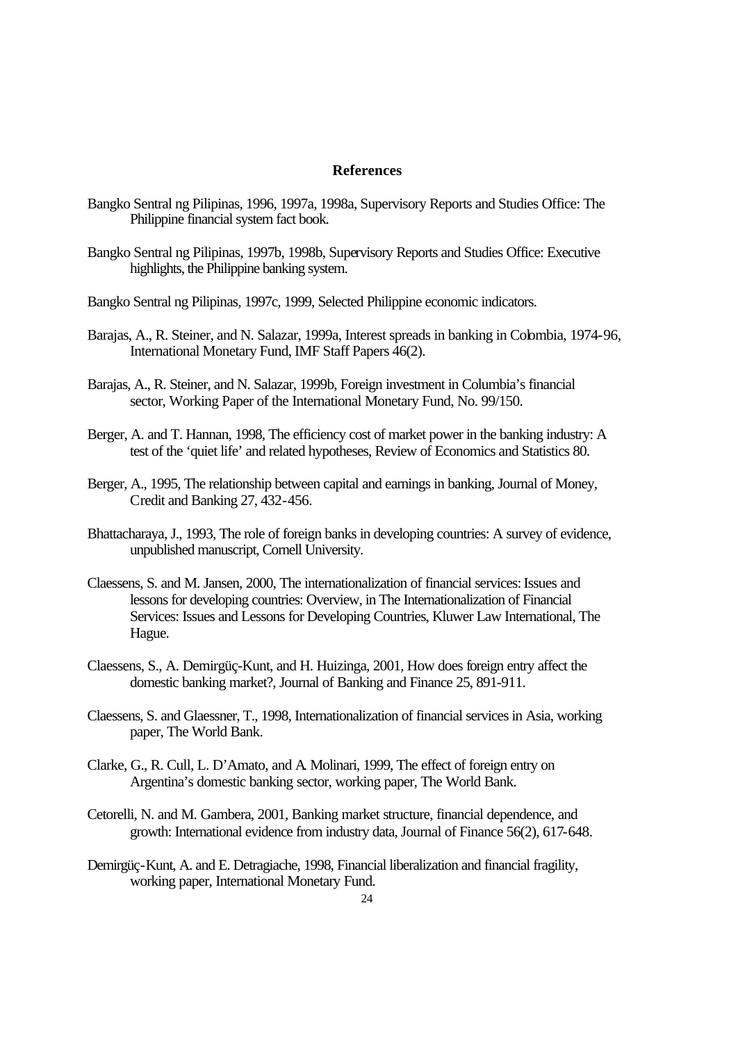## **References**

- Bangko Sentral ng Pilipinas, 1996, 1997a, 1998a, Supervisory Reports and Studies Office: The Philippine financial system fact book.
- Bangko Sentral ng Pilipinas, 1997b, 1998b, Supervisory Reports and Studies Office: Executive highlights, the Philippine banking system.
- Bangko Sentral ng Pilipinas, 1997c, 1999, Selected Philippine economic indicators.
- Barajas, A., R. Steiner, and N. Salazar, 1999a, Interest spreads in banking in Cobmbia, 1974-96, International Monetary Fund, IMF Staff Papers 46(2).
- Barajas, A., R. Steiner, and N. Salazar, 1999b, Foreign investment in Columbia's financial sector, Working Paper of the International Monetary Fund, No. 99/150.
- Berger, A. and T. Hannan, 1998, The efficiency cost of market power in the banking industry: A test of the 'quiet life' and related hypotheses, Review of Economics and Statistics 80.
- Berger, A., 1995, The relationship between capital and earnings in banking, Journal of Money, Credit and Banking 27, 432-456.
- Bhattacharaya, J., 1993, The role of foreign banks in developing countries: A survey of evidence, unpublished manuscript, Cornell University.
- Claessens, S. and M. Jansen, 2000, The internationalization of financial services: Issues and lessons for developing countries: Overview, in The Internationalization of Financial Services: Issues and Lessons for Developing Countries, Kluwer Law International, The Hague.
- Claessens, S., A. Demirgüç-Kunt, and H. Huizinga, 2001, How does foreign entry affect the domestic banking market?, Journal of Banking and Finance 25, 891-911.
- Claessens, S. and Glaessner, T., 1998, Internationalization of financial services in Asia, working paper, The World Bank.
- Clarke, G., R. Cull, L. D'Amato, and A. Molinari, 1999, The effect of foreign entry on Argentina's domestic banking sector, working paper, The World Bank.
- Cetorelli, N. and M. Gambera, 2001, Banking market structure, financial dependence, and growth: International evidence from industry data, Journal of Finance 56(2), 617-648.
- Demirgüç-Kunt, A. and E. Detragiache, 1998, Financial liberalization and financial fragility, working paper, International Monetary Fund.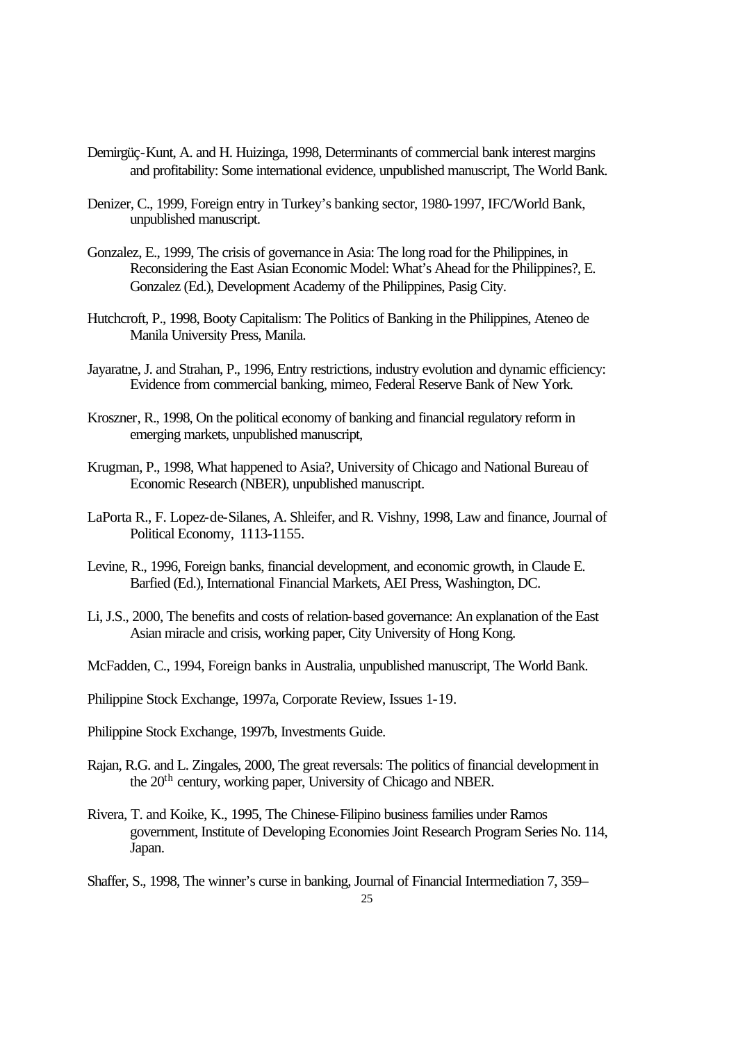- Demirgüç-Kunt, A. and H. Huizinga, 1998, Determinants of commercial bank interest margins and profitability: Some international evidence, unpublished manuscript, The World Bank.
- Denizer, C., 1999, Foreign entry in Turkey's banking sector, 1980-1997, IFC/World Bank, unpublished manuscript.
- Gonzalez, E., 1999, The crisis of governance in Asia: The long road for the Philippines, in Reconsidering the East Asian Economic Model: What's Ahead for the Philippines?, E. Gonzalez (Ed.), Development Academy of the Philippines, Pasig City.
- Hutchcroft, P., 1998, Booty Capitalism: The Politics of Banking in the Philippines, Ateneo de Manila University Press, Manila.
- Jayaratne, J. and Strahan, P., 1996, Entry restrictions, industry evolution and dynamic efficiency: Evidence from commercial banking, mimeo, Federal Reserve Bank of New York.
- Kroszner, R., 1998, On the political economy of banking and financial regulatory reform in emerging markets, unpublished manuscript,
- Krugman, P., 1998, What happened to Asia?, University of Chicago and National Bureau of Economic Research (NBER), unpublished manuscript.
- LaPorta R., F. Lopez-de-Silanes, A. Shleifer, and R. Vishny, 1998, Law and finance, Journal of Political Economy, 1113-1155.
- Levine, R., 1996, Foreign banks, financial development, and economic growth, in Claude E. Barfied (Ed.), International Financial Markets, AEI Press, Washington, DC.
- Li, J.S., 2000, The benefits and costs of relation-based governance: An explanation of the East Asian miracle and crisis, working paper, City University of Hong Kong.
- McFadden, C., 1994, Foreign banks in Australia, unpublished manuscript, The World Bank.
- Philippine Stock Exchange, 1997a, Corporate Review, Issues 1-19.
- Philippine Stock Exchange, 1997b, Investments Guide.
- Rajan, R.G. and L. Zingales, 2000, The great reversals: The politics of financial development in the 20th century, working paper, University of Chicago and NBER.
- Rivera, T. and Koike, K., 1995, The Chinese-Filipino business families under Ramos government, Institute of Developing Economies Joint Research Program Series No. 114, Japan.
- Shaffer, S., 1998, The winner's curse in banking, Journal of Financial Intermediation 7, 359–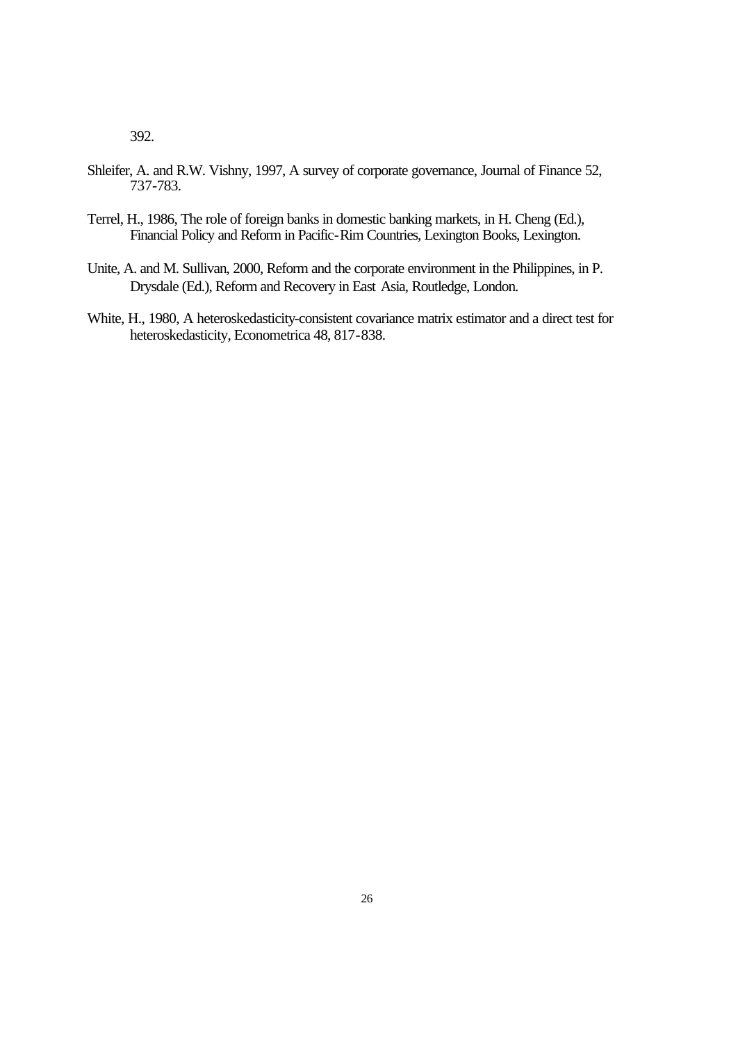392.

- Shleifer, A. and R.W. Vishny, 1997, A survey of corporate governance, Journal of Finance 52, 737-783.
- Terrel, H., 1986, The role of foreign banks in domestic banking markets, in H. Cheng (Ed.), Financial Policy and Reform in Pacific-Rim Countries, Lexington Books, Lexington.
- Unite, A. and M. Sullivan, 2000, Reform and the corporate environment in the Philippines, in P. Drysdale (Ed.), Reform and Recovery in East Asia, Routledge, London.
- White, H., 1980, A heteroskedasticity-consistent covariance matrix estimator and a direct test for heteroskedasticity, Econometrica 48, 817-838.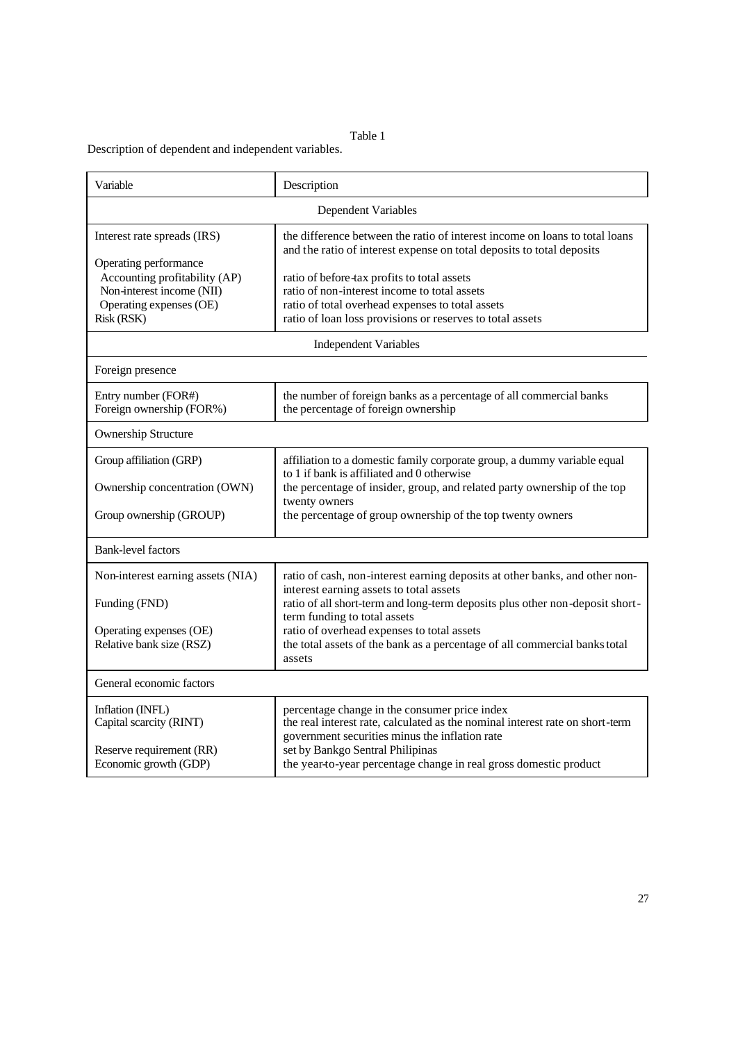# Description of dependent and independent variables.

| Variable                                                                                                                                                    | Description                                                                                                                                                                                                                                                                                                                                                                  |  |  |  |  |  |  |  |
|-------------------------------------------------------------------------------------------------------------------------------------------------------------|------------------------------------------------------------------------------------------------------------------------------------------------------------------------------------------------------------------------------------------------------------------------------------------------------------------------------------------------------------------------------|--|--|--|--|--|--|--|
| Dependent Variables                                                                                                                                         |                                                                                                                                                                                                                                                                                                                                                                              |  |  |  |  |  |  |  |
| Interest rate spreads (IRS)<br>Operating performance<br>Accounting profitability (AP)<br>Non-interest income (NII)<br>Operating expenses (OE)<br>Risk (RSK) | the difference between the ratio of interest income on loans to total loans<br>and the ratio of interest expense on total deposits to total deposits<br>ratio of before-tax profits to total assets<br>ratio of non-interest income to total assets<br>ratio of total overhead expenses to total assets<br>ratio of loan loss provisions or reserves to total assets         |  |  |  |  |  |  |  |
|                                                                                                                                                             | <b>Independent Variables</b>                                                                                                                                                                                                                                                                                                                                                 |  |  |  |  |  |  |  |
| Foreign presence                                                                                                                                            |                                                                                                                                                                                                                                                                                                                                                                              |  |  |  |  |  |  |  |
| Entry number (FOR#)<br>Foreign ownership (FOR%)                                                                                                             | the number of foreign banks as a percentage of all commercial banks<br>the percentage of foreign ownership                                                                                                                                                                                                                                                                   |  |  |  |  |  |  |  |
| <b>Ownership Structure</b>                                                                                                                                  |                                                                                                                                                                                                                                                                                                                                                                              |  |  |  |  |  |  |  |
| Group affiliation (GRP)<br>Ownership concentration (OWN)<br>Group ownership (GROUP)                                                                         | affiliation to a domestic family corporate group, a dummy variable equal<br>to 1 if bank is affiliated and 0 otherwise<br>the percentage of insider, group, and related party ownership of the top<br>twenty owners<br>the percentage of group ownership of the top twenty owners                                                                                            |  |  |  |  |  |  |  |
| <b>Bank-level factors</b>                                                                                                                                   |                                                                                                                                                                                                                                                                                                                                                                              |  |  |  |  |  |  |  |
| Non-interest earning assets (NIA)<br>Funding (FND)<br>Operating expenses (OE)<br>Relative bank size (RSZ)                                                   | ratio of cash, non-interest earning deposits at other banks, and other non-<br>interest earning assets to total assets<br>ratio of all short-term and long-term deposits plus other non-deposit short-<br>term funding to total assets<br>ratio of overhead expenses to total assets<br>the total assets of the bank as a percentage of all commercial banks total<br>assets |  |  |  |  |  |  |  |
| General economic factors                                                                                                                                    |                                                                                                                                                                                                                                                                                                                                                                              |  |  |  |  |  |  |  |
| Inflation (INFL)<br>Capital scarcity (RINT)<br>Reserve requirement (RR)<br>Economic growth (GDP)                                                            | percentage change in the consumer price index<br>the real interest rate, calculated as the nominal interest rate on short-term<br>government securities minus the inflation rate<br>set by Bankgo Sentral Philipinas<br>the year-to-year percentage change in real gross domestic product                                                                                    |  |  |  |  |  |  |  |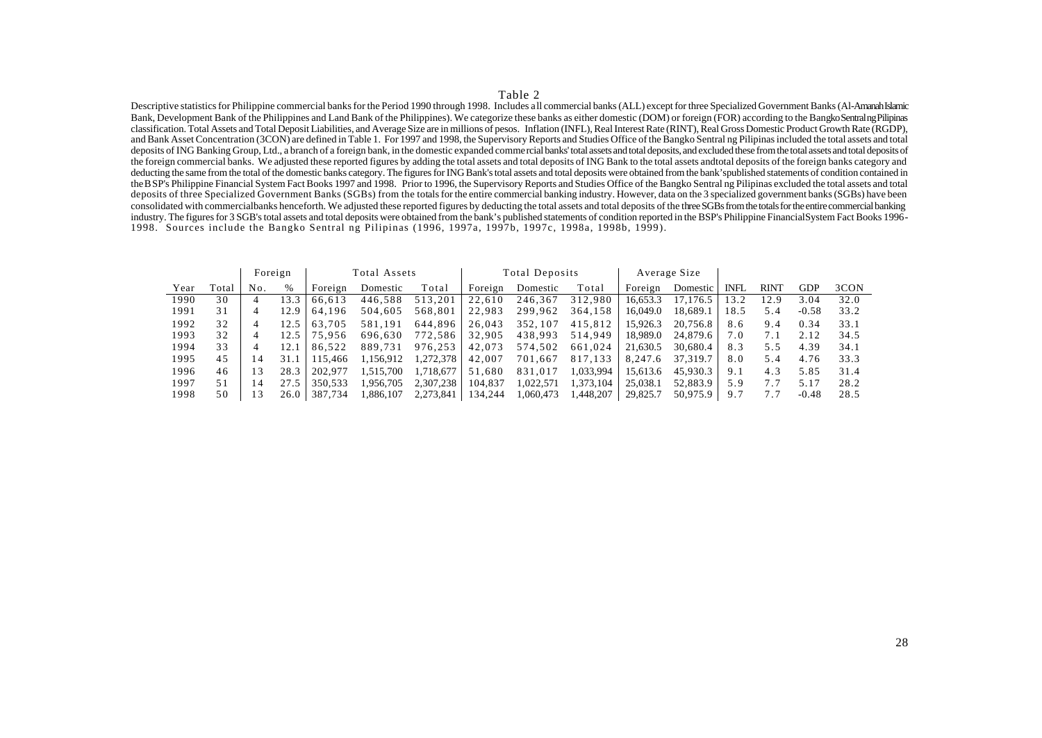Descriptive statistics for Philippine commercial banks for the Period 1990 through 1998. Includes all commercial banks (ALL) except for three Specialized Government Banks (Al-Amanah Islamic Bank, Development Bank of the Philippines and Land Bank of the Philippines). We categorize these banks as either domestic (DOM) or foreign (FOR) according to the Bangko Sentral ng Pilipinas classification. Total Assets and Total Deposit Liabilities, and Average Size are in millions of pesos. Inflation (INFL), Real Interest Rate (RINT), Real Gross Domestic Product Growth Rate (RGDP), and Bank Asset Concentration (3CON) are defined in Table 1. For 1997 and 1998, the Supervisory Reports and Studies Office of the Bangko Sentral ng Pilipinas included the total assets and total deposits of ING Banking Group, Ltd., a branch of a foreign bank, in the domestic expanded commercial banks' total assets and total deposits, and excluded these from the total assets and total deposits the foreign commercial banks. We adjusted these reported figures by adding the total assets and total deposits of ING Bank to the total assets and total deposits of the foreign banks category and deducting the same from the total of the domestic banks category. The figures for ING Bank's total assets and total deposits were obtained from the bank'spublished statements of condition contained in the BSP's Philippine Financial System Fact Books 1997 and 1998. Prior to 1996, the Supervisory Reports and Studies Office of the Bangko Sentral ng Pilipinas excluded the total assets and total deposits of three Specialized Government Banks (SGBs) from the totals for the entire commercial banking industry. However, data on the 3 specialized government banks (SGBs) have been consolidated with commercialbanks henceforth. We adjusted these reported figures by deducting the total assets and total deposits of the three SGBs from the totals for the entire commercial banking industry. The figures for 3 SGB's total assets and total deposits were obtained from the bank's published statements of condition reported in the BSP's Philippine FinancialSystem Fact Books 1996 - 1998. Sources include the Bangko Sentral ng Pilipinas (1996, 1997a, 1997b, 1997c, 1998a, 1998b, 1999).

|      |       |                 | Total Assets<br>Foreign |         | Total Deposits |           |         | Average Size |           |          |          |             |             |         |      |
|------|-------|-----------------|-------------------------|---------|----------------|-----------|---------|--------------|-----------|----------|----------|-------------|-------------|---------|------|
| Year | Total | No.             | $\%$                    | Foreign | Domestic       | Total     | Foreign | Domestic     | Total     | Foreign  | Domestic | <b>INFL</b> | <b>RINT</b> | GDP     | 3CON |
| 1990 | 30    |                 | 13.3                    | 66.613  | 446.588        | 513.201   | 22.610  | 246.367      | 312,980   | 16.653.3 | 17.176.5 | 13.2        | 2.9         | 3.04    | 32.0 |
| 1991 | 31    |                 | 12.9                    | 64.196  | 504.605        | 568.801   | 22.983  | 299,962      | 364,158   | 16,049.0 | 18.689.1 | 18.5        | 5.4         | $-0.58$ | 33.2 |
| 1992 | 32    |                 | 12.5                    | 63.705  | 581.191        | 644.896   | 26.043  | 352.107      | 415.812   | 15.926.3 | 20.756.8 | 8.6         | 9.4         | 0.34    | 33.1 |
| 1993 | 32    |                 | 12.5                    | 75.956  | 696.630        | 772.586   | 32.905  | 438.993      | 514.949   | 18,989.0 | 24,879.6 | 7.0         | 7.1         | 2.12    | 34.5 |
| 1994 | 33    |                 | 12.1                    | 86.522  | 889.731        | 976.253   | 42.073  | 574.502      | 661.024   | 21,630.5 | 30.680.4 | 8.3         | 5.5         | 4.39    | 34.1 |
| 1995 | 45    | $\overline{14}$ | 31.1                    | 15.466  | 1.156.912      | .272.378  | 42.007  | 701.667      | 817.133   | 8.247.6  | 37.319.7 | 8.0         | 5.4         | 4.76    | 33.3 |
| 1996 | 46    | 13              | 28.3                    | 202.977 | 1.515.700      | .718.677  | 51.680  | 831.017      | 1.033.994 | 15.613.6 | 45.930.3 | 9.1         | 4.3         | 5.85    | 31.4 |
| 1997 | 51    | 14              | 27.5                    | 350.533 | 1.956.705      | 2.307.238 | 104.837 | .022.571     | 1.373.104 | 25,038.1 | 52.883.9 | 5.9         |             | 5.17    | 28.2 |
| 1998 | 50    | . 3             | 26.0                    | 387.734 | .886.107       | 2,273,841 | 134,244 | 1,060,473    | .448,207  | 29,825.7 | 50.975.9 | 9.7         | 7.7         | $-0.48$ | 28.5 |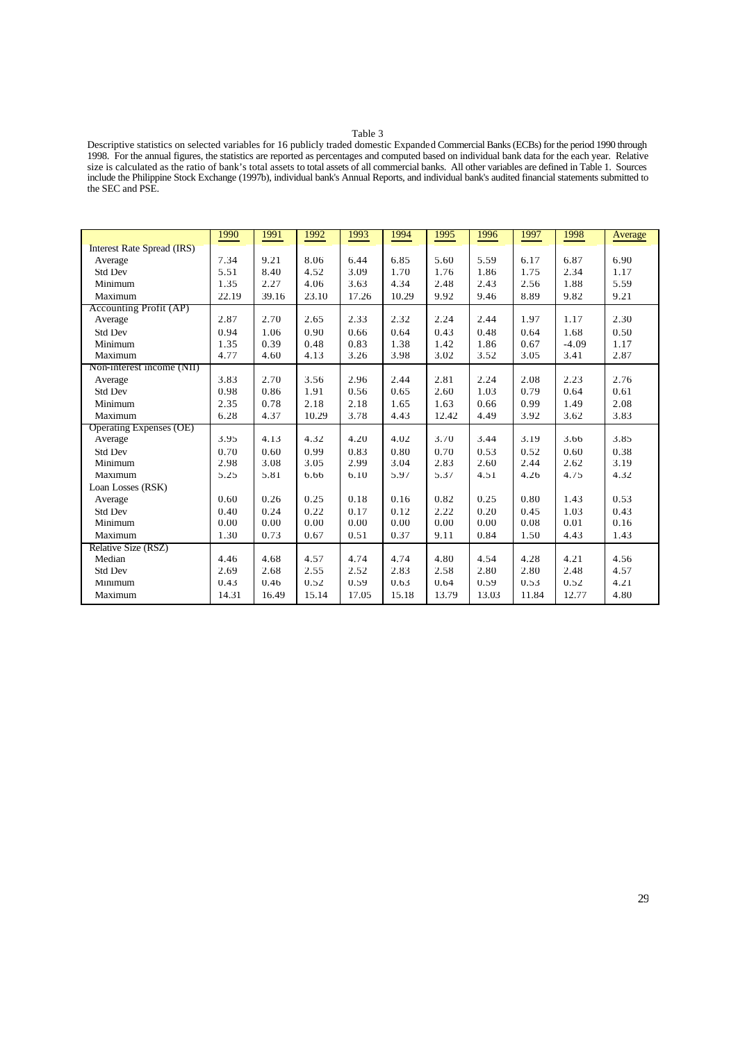Descriptive statistics on selected variables for 16 publicly traded domestic Expanded Commercial Banks (ECBs) for the period 1990 through 1998. For the annual figures, the statistics are reported as percentages and computed based on individual bank data for the each year. Relative size is calculated as the ratio of bank's total assets to total assets of all commercial banks. All other variables are defined in Table 1. Sources include the Philippine Stock Exchange (1997b), individual bank's Annual Reports, and individual bank's audited financial statements submitted to the SEC and PSE.

|                                   | 1990  | <u>1991</u> | 1992  | <u>1993</u> | 1994  | 1995  | <u>1996</u> | 1997  | <u>1998</u> | Average |
|-----------------------------------|-------|-------------|-------|-------------|-------|-------|-------------|-------|-------------|---------|
| <b>Interest Rate Spread (IRS)</b> |       |             |       |             |       |       |             |       |             |         |
| Average                           | 7.34  | 9.21        | 8.06  | 6.44        | 6.85  | 5.60  | 5.59        | 6.17  | 6.87        | 6.90    |
| Std Dev                           | 5.51  | 8.40        | 4.52  | 3.09        | 1.70  | 1.76  | 1.86        | 1.75  | 2.34        | 1.17    |
| Minimum                           | 1.35  | 2.27        | 4.06  | 3.63        | 4.34  | 2.48  | 2.43        | 2.56  | 1.88        | 5.59    |
| Maximum                           | 22.19 | 39.16       | 23.10 | 17.26       | 10.29 | 9.92  | 9.46        | 8.89  | 9.82        | 9.21    |
| Accounting Profit (AP)            |       |             |       |             |       |       |             |       |             |         |
| Average                           | 2.87  | 2.70        | 2.65  | 2.33        | 2.32  | 2.24  | 2.44        | 1.97  | 1.17        | 2.30    |
| Std Dev                           | 0.94  | 1.06        | 0.90  | 0.66        | 0.64  | 0.43  | 0.48        | 0.64  | 1.68        | 0.50    |
| Minimum                           | 1.35  | 0.39        | 0.48  | 0.83        | 1.38  | 1.42  | 1.86        | 0.67  | $-4.09$     | 1.17    |
| Maximum                           | 4.77  | 4.60        | 4.13  | 3.26        | 3.98  | 3.02  | 3.52        | 3.05  | 3.41        | 2.87    |
| Non-interest income (NII)         |       |             |       |             |       |       |             |       |             |         |
| Average                           | 3.83  | 2.70        | 3.56  | 2.96        | 2.44  | 2.81  | 2.24        | 2.08  | 2.23        | 2.76    |
| <b>Std Dev</b>                    | 0.98  | 0.86        | 1.91  | 0.56        | 0.65  | 2.60  | 1.03        | 0.79  | 0.64        | 0.61    |
| Minimum                           | 2.35  | 0.78        | 2.18  | 2.18        | 1.65  | 1.63  | 0.66        | 0.99  | 1.49        | 2.08    |
| Maximum                           | 6.28  | 4.37        | 10.29 | 3.78        | 4.43  | 12.42 | 4.49        | 3.92  | 3.62        | 3.83    |
| <b>Operating Expenses (OE)</b>    |       |             |       |             |       |       |             |       |             |         |
| Average                           | 3.95  | 4.13        | 4.32  | 4.20        | 4.02  | 3.70  | 3.44        | 3.19  | 3.66        | 3.85    |
| <b>Std Dev</b>                    | 0.70  | 0.60        | 0.99  | 0.83        | 0.80  | 0.70  | 0.53        | 0.52  | 0.60        | 0.38    |
| Minimum                           | 2.98  | 3.08        | 3.05  | 2.99        | 3.04  | 2.83  | 2.60        | 2.44  | 2.62        | 3.19    |
| Maximum                           | 5.25  | 5.81        | 6.66  | 6.10        | 5.97  | 5.37  | 4.51        | 4.26  | 4.75        | 4.32    |
| Loan Losses (RSK)                 |       |             |       |             |       |       |             |       |             |         |
| Average                           | 0.60  | 0.26        | 0.25  | 0.18        | 0.16  | 0.82  | 0.25        | 0.80  | 1.43        | 0.53    |
| <b>Std Dev</b>                    | 0.40  | 0.24        | 0.22  | 0.17        | 0.12  | 2.22  | 0.20        | 0.45  | 1.03        | 0.43    |
| Minimum                           | 0.00  | 0.00        | 0.00  | 0.00        | 0.00  | 0.00  | 0.00        | 0.08  | 0.01        | 0.16    |
| Maximum                           | 1.30  | 0.73        | 0.67  | 0.51        | 0.37  | 9.11  | 0.84        | 1.50  | 4.43        | 1.43    |
| Relative Size (RSZ)               |       |             |       |             |       |       |             |       |             |         |
| Median                            | 4.46  | 4.68        | 4.57  | 4.74        | 4.74  | 4.80  | 4.54        | 4.28  | 4.21        | 4.56    |
| <b>Std Dev</b>                    | 2.69  | 2.68        | 2.55  | 2.52        | 2.83  | 2.58  | 2.80        | 2.80  | 2.48        | 4.57    |
| Minimum                           | 0.43  | 0.46        | 0.52  | 0.59        | 0.63  | 0.64  | 0.59        | 0.53  | 0.52        | 4.21    |
| Maximum                           | 14.31 | 16.49       | 15.14 | 17.05       | 15.18 | 13.79 | 13.03       | 11.84 | 12.77       | 4.80    |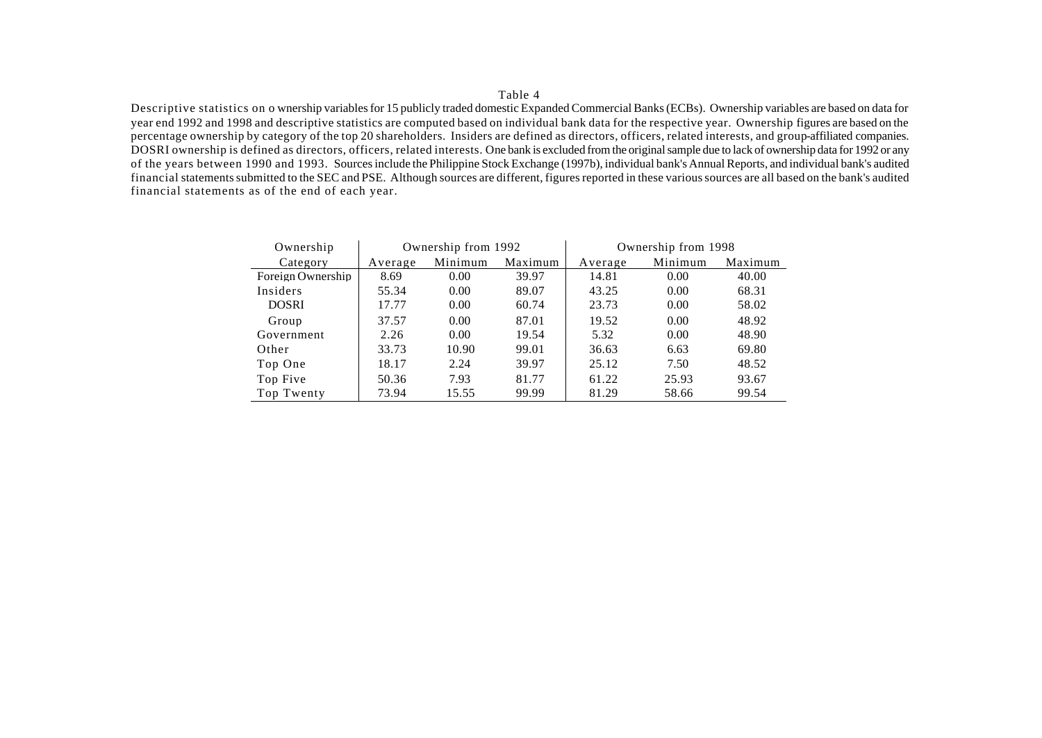Descriptive statistics on o wnership variables for 15 publicly traded domestic Expanded Commercial Banks (ECBs). Ownership variables are based on data for year end 1992 and 1998 and descriptive statistics are computed based on individual bank data for the respective year. Ownership figures are based on the percentage ownership by category of the top 20 shareholders. Insiders are defined as directors, officers, related interests, and group-affiliated companies. DOSRI ownership is defined as directors, officers, related interests. One bank is excluded from the original sample due to lack of ownership data for 1992 or any of the years between 1990 and 1993. Sources include the Philippine Stock Exchange (1997b), individual bank's Annual Reports, and individual bank's audited financial statements submitted to the SEC and PSE. Although sources are different, figures reported in these various sources are all based on the bank's audited financial statements as of the end of each year.

| Ownership         |         | Ownership from 1992 |         | Ownership from 1998 |         |         |  |  |  |
|-------------------|---------|---------------------|---------|---------------------|---------|---------|--|--|--|
| Category          | Average | Minimum             | Maximum | Average             | Minimum | Maximum |  |  |  |
| Foreign Ownership | 8.69    | 0.00                | 39.97   | 14.81               | 0.00    | 40.00   |  |  |  |
| Insiders          | 55.34   | 0.00                | 89.07   | 43.25               | 0.00    | 68.31   |  |  |  |
| <b>DOSRI</b>      | 17.77   | 0.00                | 60.74   | 23.73               | 0.00    | 58.02   |  |  |  |
| Group             | 37.57   | 0.00                | 87.01   | 19.52               | 0.00    | 48.92   |  |  |  |
| Government        | 2.26    | 0.00                | 19.54   | 5.32                | 0.00    | 48.90   |  |  |  |
| Other             | 33.73   | 10.90               | 99.01   | 36.63               | 6.63    | 69.80   |  |  |  |
| Top One           | 18.17   | 2.24                | 39.97   | 25.12               | 7.50    | 48.52   |  |  |  |
| Top Five          | 50.36   | 7.93                | 81.77   | 61.22               | 25.93   | 93.67   |  |  |  |
| Top Twenty        | 73.94   | 15.55               | 99.99   | 81.29               | 58.66   | 99.54   |  |  |  |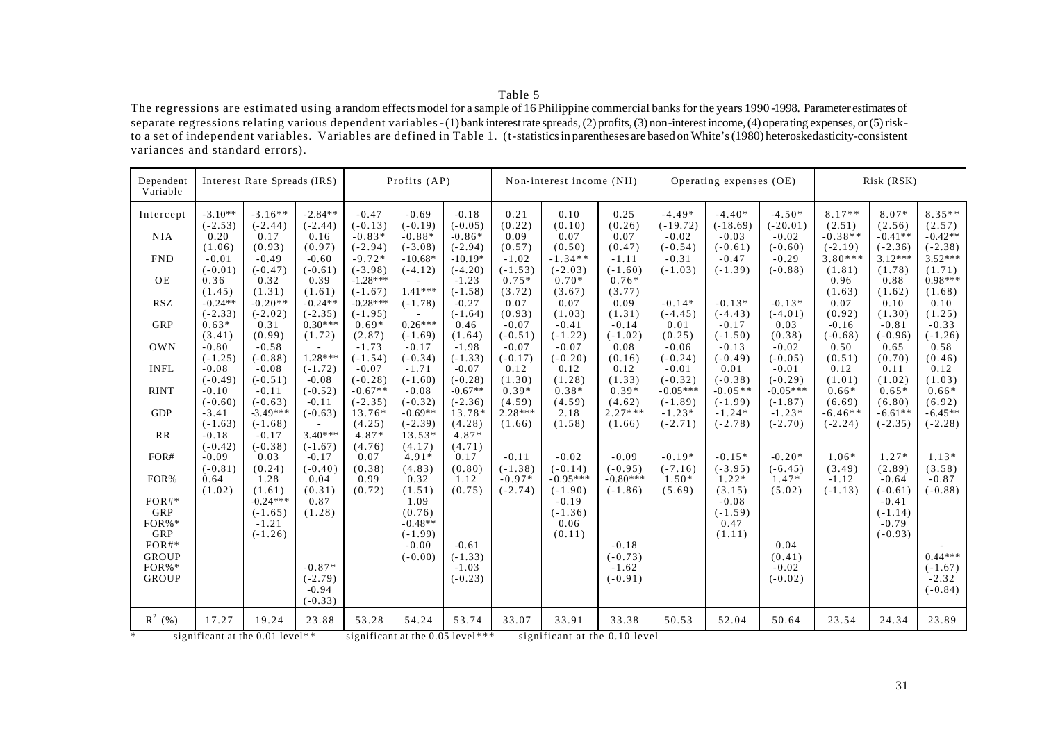| Table 5                                                                                                                                                                                                                                                                                                                               |
|---------------------------------------------------------------------------------------------------------------------------------------------------------------------------------------------------------------------------------------------------------------------------------------------------------------------------------------|
| The regressions are estimated using a random effects model for a sample of 16 Philippine commercial banks for the years 1990-1998. Parameter estimates of                                                                                                                                                                             |
| separate regressions relating various dependent variables - (1) bank interest rate spreads, (2) profits, (3) non-interest income, (4) operating expenses, or (5) risk-<br>to a set of independent variables. Variables are defined in Table 1. (t-statistics in parentheses are based on White's (1980) heteroskedasticity-consistent |
| variances and standard errors).                                                                                                                                                                                                                                                                                                       |

| Dependent<br>Variable   |                                  | Interest Rate Spreads (IRS)      |                                               |                                      | Profits (AP)             | Non-interest income (NII)         |                                    | Operating expenses (OE)              |                                      |                                | Risk (RSK)                     |                                |                                |                                |                                   |
|-------------------------|----------------------------------|----------------------------------|-----------------------------------------------|--------------------------------------|--------------------------|-----------------------------------|------------------------------------|--------------------------------------|--------------------------------------|--------------------------------|--------------------------------|--------------------------------|--------------------------------|--------------------------------|-----------------------------------|
| Intercept               | $-3.10**$<br>$(-2.53)$           | $-3.16**$<br>$(-2.44)$           | $-2.84**$<br>$(-2.44)$                        | $-0.47$<br>$(-0.13)$                 | $-0.69$<br>$(-0.19)$     | $-0.18$<br>$(-0.05)$              | 0.21<br>(0.22)                     | 0.10<br>(0.10)                       | 0.25<br>(0.26)                       | $-4.49*$<br>$(-19.72)$         | $-4.40*$<br>$(-18.69)$         | $-4.50*$<br>$(-20.01)$         | $8.17**$<br>(2.51)             | 8.07*<br>(2.56)                | $8.35**$<br>(2.57)                |
| <b>NIA</b>              | 0.20<br>(1.06)                   | 0.17<br>(0.93)                   | 0.16<br>(0.97)                                | $-0.83*$<br>$(-2.94)$                | $-0.88*$<br>$(-3.08)$    | $-0.86*$<br>$(-2.94)$             | 0.09<br>(0.57)                     | 0.07<br>(0.50)                       | 0.07<br>(0.47)                       | $-0.02$<br>$(-0.54)$           | $-0.03$<br>$(-0.61)$           | $-0.02$<br>$(-0.60)$           | $-0.38**$<br>$(-2.19)$         | $-0.41**$<br>$(-2.36)$         | $-0.42**$<br>$(-2.38)$            |
| <b>FND</b>              | $-0.01$<br>$(-0.01)$             | $-0.49$                          | $-0.60$<br>$(-0.61)$                          | $-9.72*$<br>$(-3.98)$                | $-10.68*$                | $-10.19*$                         | $-1.02$                            | $-1.34**$                            | $-1.11$                              | $-0.31$                        | $-0.47$                        | $-0.29$                        | $3.80***$                      | $3.12***$                      | $3.52***$                         |
| OЕ                      | 0.36                             | $(-0.47)$<br>0.32                | 0.39                                          | $-1.28***$                           | $(-4.12)$                | $(-4.20)$<br>$-1.23$              | $(-1.53)$<br>$0.75*$               | $(-2.03)$<br>$0.70*$                 | $(-1.60)$<br>$0.76*$                 | $(-1.03)$                      | $(-1.39)$                      | $(-0.88)$                      | (1.81)<br>0.96                 | (1.78)<br>0.88                 | (1.71)<br>$0.98***$               |
| <b>RSZ</b>              | (1.45)<br>$-0.24**$<br>$(-2.33)$ | (1.31)<br>$-0.20**$<br>$(-2.02)$ | (1.61)<br>$-0.24**$<br>$(-2.35)$              | $(-1.67)$<br>$-0.28***$<br>$(-1.95)$ | $1.41***$<br>$(-1.78)$   | $(-1.58)$<br>$-0.27$<br>$(-1.64)$ | (3.72)<br>0.07<br>(0.93)           | (3.67)<br>0.07<br>(1.03)             | (3.77)<br>0.09<br>(1.31)             | $-0.14*$<br>$(-4.45)$          | $-0.13*$<br>$(-4.43)$          | $-0.13*$<br>$(-4.01)$          | (1.63)<br>0.07<br>(0.92)       | (1.62)<br>0.10<br>(1.30)       | (1.68)<br>0.10<br>(1.25)          |
| GRP                     | $0.63*$<br>(3.41)                | 0.31<br>(0.99)                   | $0.30***$<br>(1.72)                           | $0.69*$<br>(2.87)                    | $0.26***$<br>$(-1.69)$   | 0.46<br>(1.64)                    | $-0.07$<br>$(-0.51)$               | $-0.41$<br>$(-1.22)$                 | $-0.14$<br>$(-1.02)$                 | 0.01<br>(0.25)                 | $-0.17$<br>$(-1.50)$           | 0.03<br>(0.38)                 | $-0.16$<br>$(-0.68)$           | $-0.81$<br>$(-0.96)$           | $-0.33$<br>$(-1.26)$              |
| <b>OWN</b>              | $-0.80$<br>$(-1.25)$             | $-0.58$<br>$(-0.88)$             | $\sim$<br>$1.28***$                           | $-1.73$<br>$(-1.54)$                 | $-0.17$<br>$(-0.34)$     | $-1.98$<br>$(-1.33)$              | $-0.07$<br>$(-0.17)$               | $-0.07$<br>$(-0.20)$                 | 0.08<br>(0.16)                       | $-0.06$<br>$(-0.24)$           | $-0.13$<br>$(-0.49)$           | $-0.02$<br>$(-0.05)$           | 0.50<br>(0.51)                 | 0.65<br>(0.70)                 | 0.58<br>(0.46)                    |
| <b>INFL</b>             | $-0.08$<br>$(-0.49)$             | $-0.08$<br>$(-0.51)$             | $(-1.72)$<br>$-0.08$                          | $-0.07$<br>$(-0.28)$                 | $-1.71$<br>$(-1.60)$     | $-0.07$<br>$(-0.28)$              | 0.12<br>(1.30)                     | 0.12<br>(1.28)                       | 0.12<br>(1.33)                       | $-0.01$<br>$(-0.32)$           | 0.01<br>$(-0.38)$              | $-0.01$<br>$(-0.29)$           | 0.12<br>(1.01)                 | 0.11<br>(1.02)                 | 0.12<br>(1.03)                    |
| <b>RINT</b>             | $-0.10$<br>$(-0.60)$             | $-0.11$<br>$(-0.63)$             | $(-0.52)$<br>$-0.11$                          | $-0.67**$<br>$(-2.35)$               | $-0.08$<br>$(-0.32)$     | $-0.67**$<br>$(-2.36)$            | $0.39*$<br>(4.59)                  | $0.38*$<br>(4.59)                    | $0.39*$<br>(4.62)                    | $-0.05***$<br>$(-1.89)$        | $-0.05**$<br>$(-1.99)$         | $-0.05***$<br>$(-1.87)$        | $0.66*$<br>(6.69)              | $0.65*$<br>(6.80)              | $0.66*$<br>(6.92)                 |
| <b>GDP</b>              | $-3.41$<br>$(-1.63)$             | $-3.49***$<br>$(-1.68)$          | $(-0.63)$                                     | $13.76*$<br>(4.25)                   | $-0.69**$<br>$(-2.39)$   | 13.78*<br>(4.28)                  | $2.28***$<br>(1.66)                | 2.18<br>(1.58)                       | $2.27***$<br>(1.66)                  | $-1.23*$<br>$(-2.71)$          | $-1.24*$<br>$(-2.78)$          | $-1.23*$<br>$(-2.70)$          | $-6.46**$<br>$(-2.24)$         | $-6.61**$<br>$(-2.35)$         | $-6.45**$<br>$(-2.28)$            |
| RR                      | $-0.18$<br>$(-0.42)$             | $-0.17$<br>$(-0.38)$             | $3.40***$<br>$(-1.67)$                        | $4.87*$<br>(4.76)                    | $13.53*$<br>(4.17)       | 4.87*<br>(4.71)                   |                                    |                                      |                                      |                                |                                |                                |                                |                                |                                   |
| FOR#                    | $-0.09$                          | 0.03                             | $-0.17$                                       | 0.07                                 | $4.91*$                  | 0.17                              | $-0.11$                            | $-0.02$                              | $-0.09$                              | $-0.19*$                       | $-0.15*$                       | $-0.20*$                       | $1.06*$                        | $1.27*$                        | $1.13*$                           |
| FOR%                    | $(-0.81)$<br>0.64<br>(1.02)      | (0.24)<br>1.28<br>(1.61)         | $(-0.40)$<br>0.04<br>(0.31)                   | (0.38)<br>0.99<br>(0.72)             | (4.83)<br>0.32<br>(1.51) | (0.80)<br>1.12<br>(0.75)          | $(-1.38)$<br>$-0.97*$<br>$(-2.74)$ | $(-0.14)$<br>$-0.95***$<br>$(-1.90)$ | $(-0.95)$<br>$-0.80***$<br>$(-1.86)$ | $(-7.16)$<br>$1.50*$<br>(5.69) | $(-3.95)$<br>$1.22*$<br>(3.15) | $(-6.45)$<br>$1.47*$<br>(5.02) | (3.49)<br>$-1.12$<br>$(-1.13)$ | (2.89)<br>$-0.64$<br>$(-0.61)$ | (3.58)<br>$-0.87$<br>$(-0.88)$    |
| $FOR#*$<br>GRP          |                                  | $-0.24***$<br>$(-1.65)$          | 0.87<br>(1.28)                                |                                      | 1.09<br>(0.76)           |                                   |                                    | $-0.19$<br>$(-1.36)$                 |                                      |                                | $-0.08$<br>$(-1.59)$           |                                |                                | $-0.41$<br>$(-1.14)$           |                                   |
| FOR%*<br>GRP            |                                  | $-1.21$<br>$(-1.26)$             |                                               |                                      | $-0.48**$<br>$(-1.99)$   |                                   |                                    | 0.06<br>(0.11)                       |                                      |                                | 0.47<br>(1.11)                 |                                |                                | $-0.79$<br>$(-0.93)$           |                                   |
| $FOR#*$<br><b>GROUP</b> |                                  |                                  |                                               |                                      | $-0.00$<br>$(-0.00)$     | $-0.61$<br>$(-1.33)$              |                                    |                                      | $-0.18$<br>$(-0.73)$                 |                                |                                | 0.04<br>(0.41)                 |                                |                                | $0.44***$                         |
| FOR%*<br><b>GROUP</b>   |                                  |                                  | $-0.87*$<br>$(-2.79)$<br>$-0.94$<br>$(-0.33)$ |                                      |                          | $-1.03$<br>$(-0.23)$              |                                    |                                      | $-1.62$<br>$(-0.91)$                 |                                |                                | $-0.02$<br>$(-0.02)$           |                                |                                | $(-1.67)$<br>$-2.32$<br>$(-0.84)$ |
| $R^2$ (%)               | 17.27                            | 19.24                            | 23.88                                         | 53.28                                | 54.24                    | 53.74                             | 33.07                              | 33.91                                | 33.38                                | 50.53                          | 52.04                          | 50.64                          | 23.54                          | 24.34                          | 23.89                             |

\* significant at the 0.01 level\*\* significant at the 0.05 level\*\*\* significant at the 0.10 level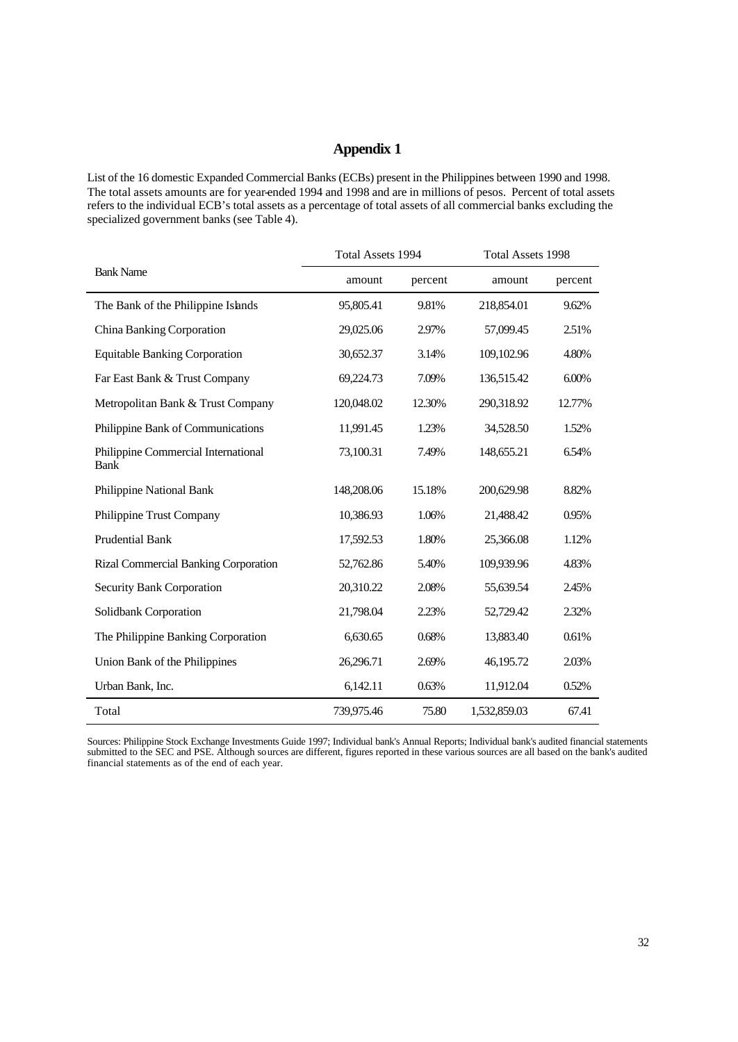# **Appendix 1**

List of the 16 domestic Expanded Commercial Banks (ECBs) present in the Philippines between 1990 and 1998. The total assets amounts are for year-ended 1994 and 1998 and are in millions of pesos. Percent of total assets refers to the individual ECB's total assets as a percentage of total assets of all commercial banks excluding the specialized government banks (see Table 4).

|                                                    | Total Assets 1994 |         | <b>Total Assets 1998</b> |         |  |  |
|----------------------------------------------------|-------------------|---------|--------------------------|---------|--|--|
| <b>Bank Name</b>                                   | amount            | percent | amount                   | percent |  |  |
| The Bank of the Philippine Islands                 | 95,805.41         | 9.81%   | 218,854.01               | 9.62%   |  |  |
| China Banking Corporation                          | 29,025.06         | 2.97%   | 57,099.45                | 2.51%   |  |  |
| <b>Equitable Banking Corporation</b>               | 30,652.37         | 3.14%   | 109,102.96               | 4.80%   |  |  |
| Far East Bank & Trust Company                      | 69,224.73         | 7.09%   | 136,515.42               | 6.00%   |  |  |
| Metropolitan Bank & Trust Company                  | 120,048.02        | 12.30%  | 290,318.92               | 12.77%  |  |  |
| Philippine Bank of Communications                  | 11,991.45         | 1.23%   | 34,528.50                | 1.52%   |  |  |
| Philippine Commercial International<br><b>Bank</b> | 73,100.31         | 7.49%   | 148,655.21               | 6.54%   |  |  |
| Philippine National Bank                           | 148,208.06        | 15.18%  | 200,629.98               | 8.82%   |  |  |
| Philippine Trust Company                           | 10,386.93         | 1.06%   | 21,488.42                | 0.95%   |  |  |
| <b>Prudential Bank</b>                             | 17,592.53         | 1.80%   | 25,366.08                | 1.12%   |  |  |
| <b>Rizal Commercial Banking Corporation</b>        | 52,762.86         | 5.40%   | 109,939.96               | 4.83%   |  |  |
| Security Bank Corporation                          | 20,310.22         | 2.08%   | 55,639.54                | 2.45%   |  |  |
| Solidbank Corporation                              | 21,798.04         | 2.23%   | 52,729.42                | 2.32%   |  |  |
| The Philippine Banking Corporation                 | 6,630.65          | 0.68%   | 13,883.40                | 0.61%   |  |  |
| Union Bank of the Philippines                      | 26,296.71         | 2.69%   | 46,195.72                | 2.03%   |  |  |
| Urban Bank, Inc.                                   | 6,142.11          | 0.63%   | 11,912.04                | 0.52%   |  |  |
| Total                                              | 739,975.46        | 75.80   | 1,532,859.03             | 67.41   |  |  |

Sources: Philippine Stock Exchange Investments Guide 1997; Individual bank's Annual Reports; Individual bank's audited financial statements submitted to the SEC and PSE. Although sources are different, figures reported in these various sources are all based on the bank's audited financial statements as of the end of each year.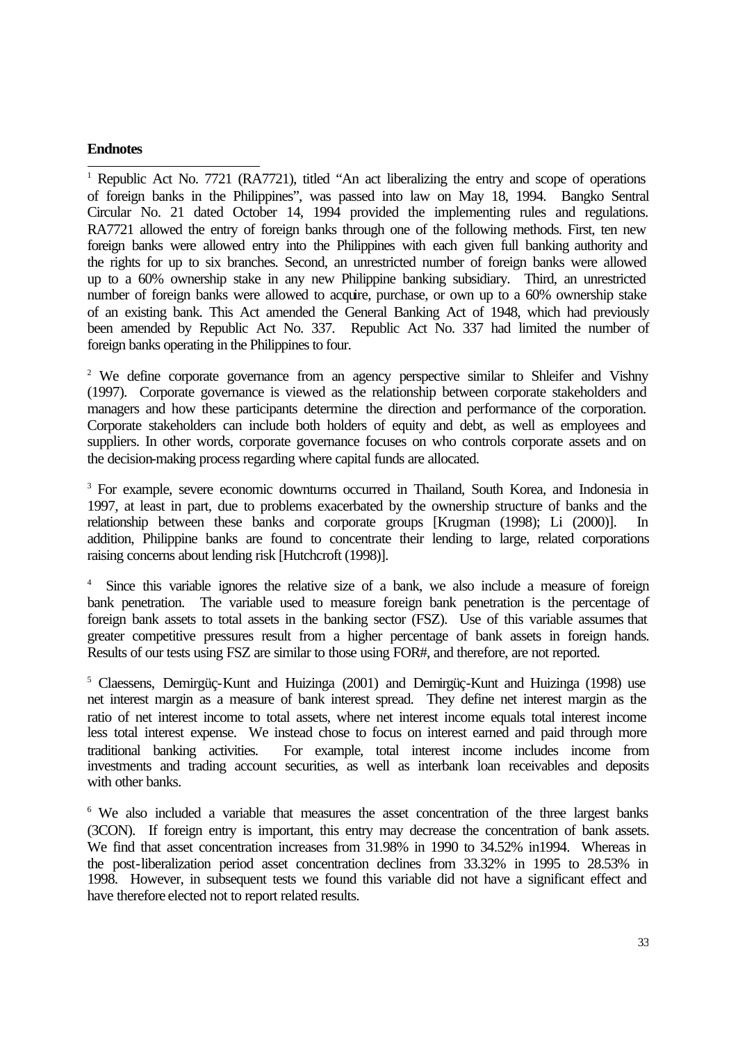# **Endnotes**

l <sup>1</sup> Republic Act No. 7721 (RA7721), titled "An act liberalizing the entry and scope of operations of foreign banks in the Philippines", was passed into law on May 18, 1994. Bangko Sentral Circular No. 21 dated October 14, 1994 provided the implementing rules and regulations. RA7721 allowed the entry of foreign banks through one of the following methods. First, ten new foreign banks were allowed entry into the Philippines with each given full banking authority and the rights for up to six branches. Second, an unrestricted number of foreign banks were allowed up to a 60% ownership stake in any new Philippine banking subsidiary. Third, an unrestricted number of foreign banks were allowed to acquire, purchase, or own up to a 60% ownership stake of an existing bank. This Act amended the General Banking Act of 1948, which had previously been amended by Republic Act No. 337. Republic Act No. 337 had limited the number of foreign banks operating in the Philippines to four.

<sup>2</sup> We define corporate governance from an agency perspective similar to Shleifer and Vishny (1997). Corporate governance is viewed as the relationship between corporate stakeholders and managers and how these participants determine the direction and performance of the corporation. Corporate stakeholders can include both holders of equity and debt, as well as employees and suppliers. In other words, corporate governance focuses on who controls corporate assets and on the decision-making process regarding where capital funds are allocated.

<sup>3</sup> For example, severe economic downturns occurred in Thailand, South Korea, and Indonesia in 1997, at least in part, due to problems exacerbated by the ownership structure of banks and the relationship between these banks and corporate groups [Krugman (1998); Li (2000)]. In addition, Philippine banks are found to concentrate their lending to large, related corporations raising concerns about lending risk [Hutchcroft (1998)].

<sup>4</sup> Since this variable ignores the relative size of a bank, we also include a measure of foreign bank penetration. The variable used to measure foreign bank penetration is the percentage of foreign bank assets to total assets in the banking sector (FSZ). Use of this variable assumes that greater competitive pressures result from a higher percentage of bank assets in foreign hands. Results of our tests using FSZ are similar to those using FOR#, and therefore, are not reported.

<sup>5</sup> Claessens, Demirgüç-Kunt and Huizinga (2001) and Demirgüç-Kunt and Huizinga (1998) use net interest margin as a measure of bank interest spread. They define net interest margin as the ratio of net interest income to total assets, where net interest income equals total interest income less total interest expense. We instead chose to focus on interest earned and paid through more traditional banking activities. For example, total interest income includes income from investments and trading account securities, as well as interbank loan receivables and deposits with other banks.

<sup>6</sup> We also included a variable that measures the asset concentration of the three largest banks (3CON). If foreign entry is important, this entry may decrease the concentration of bank assets. We find that asset concentration increases from 31.98% in 1990 to 34.52% in1994. Whereas in the post-liberalization period asset concentration declines from 33.32% in 1995 to 28.53% in 1998. However, in subsequent tests we found this variable did not have a significant effect and have therefore elected not to report related results.